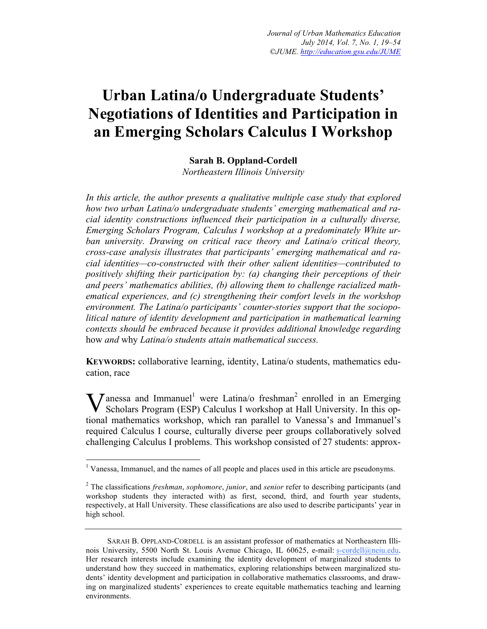# **Urban Latina/o Undergraduate Students' Negotiations of Identities and Participation in an Emerging Scholars Calculus I Workshop**

# **Sarah B. Oppland-Cordell**

*Northeastern Illinois University*

*In this article, the author presents a qualitative multiple case study that explored how two urban Latina/o undergraduate students' emerging mathematical and racial identity constructions influenced their participation in a culturally diverse, Emerging Scholars Program, Calculus I workshop at a predominately White urban university. Drawing on critical race theory and Latina/o critical theory, cross-case analysis illustrates that participants' emerging mathematical and racial identities—co-constructed with their other salient identities—contributed to positively shifting their participation by: (a) changing their perceptions of their and peers' mathematics abilities, (b) allowing them to challenge racialized mathematical experiences, and (c) strengthening their comfort levels in the workshop environment. The Latina/o participants' counter-stories support that the sociopolitical nature of identity development and participation in mathematical learning contexts should be embraced because it provides additional knowledge regarding* how *and* why *Latina/o students attain mathematical success.* 

**KEYWORDS:** collaborative learning, identity, Latina/o students, mathematics education, race

**V** anessa and Immanuel<sup>1</sup> were Latina/o freshman<sup>2</sup> enrolled in an Emerging Scholars Program (ESP) Calculus I workshop at Hall University. In this op-Scholars Program (ESP) Calculus I workshop at Hall University. In this optional mathematics workshop, which ran parallel to Vanessa's and Immanuel's required Calculus I course, culturally diverse peer groups collaboratively solved challenging Calculus I problems. This workshop consisted of 27 students: approx-

 $<sup>1</sup>$  Vanessa, Immanuel, and the names of all people and places used in this article are pseudonyms.</sup>

<sup>2</sup> The classifications *freshman*, *sophomore*, *junior*, and *senior* refer to describing participants (and workshop students they interacted with) as first, second, third, and fourth year students, respectively, at Hall University. These classifications are also used to describe participants' year in high school.

SARAH B. OPPLAND-CORDELL is an assistant professor of mathematics at Northeastern Illinois University, 5500 North St. Louis Avenue Chicago, IL 60625, e-mail: s-cordell@neiu.edu. Her research interests include examining the identity development of marginalized students to understand how they succeed in mathematics, exploring relationships between marginalized students' identity development and participation in collaborative mathematics classrooms, and drawing on marginalized students' experiences to create equitable mathematics teaching and learning environments.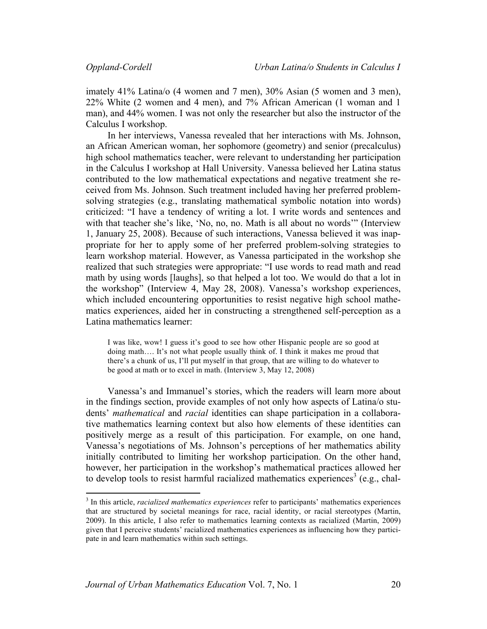imately 41% Latina/o (4 women and 7 men), 30% Asian (5 women and 3 men), 22% White (2 women and 4 men), and 7% African American (1 woman and 1 man), and 44% women. I was not only the researcher but also the instructor of the Calculus I workshop.

In her interviews, Vanessa revealed that her interactions with Ms. Johnson, an African American woman, her sophomore (geometry) and senior (precalculus) high school mathematics teacher, were relevant to understanding her participation in the Calculus I workshop at Hall University. Vanessa believed her Latina status contributed to the low mathematical expectations and negative treatment she received from Ms. Johnson. Such treatment included having her preferred problemsolving strategies (e.g., translating mathematical symbolic notation into words) criticized: "I have a tendency of writing a lot. I write words and sentences and with that teacher she's like, 'No, no, no. Math is all about no words'" (Interview 1, January 25, 2008). Because of such interactions, Vanessa believed it was inappropriate for her to apply some of her preferred problem-solving strategies to learn workshop material. However, as Vanessa participated in the workshop she realized that such strategies were appropriate: "I use words to read math and read math by using words [laughs], so that helped a lot too. We would do that a lot in the workshop" (Interview 4, May 28, 2008). Vanessa's workshop experiences, which included encountering opportunities to resist negative high school mathematics experiences, aided her in constructing a strengthened self-perception as a Latina mathematics learner:

I was like, wow! I guess it's good to see how other Hispanic people are so good at doing math…. It's not what people usually think of. I think it makes me proud that there's a chunk of us, I'll put myself in that group, that are willing to do whatever to be good at math or to excel in math. (Interview 3, May 12, 2008)

Vanessa's and Immanuel's stories, which the readers will learn more about in the findings section, provide examples of not only how aspects of Latina/o students' *mathematical* and *racial* identities can shape participation in a collaborative mathematics learning context but also how elements of these identities can positively merge as a result of this participation. For example, on one hand, Vanessa's negotiations of Ms. Johnson's perceptions of her mathematics ability initially contributed to limiting her workshop participation. On the other hand, however, her participation in the workshop's mathematical practices allowed her to develop tools to resist harmful racialized mathematics experiences<sup>3</sup> (e.g., chal-

<sup>3</sup> In this article, *racialized mathematics experiences* refer to participants' mathematics experiences that are structured by societal meanings for race, racial identity, or racial stereotypes (Martin, 2009). In this article, I also refer to mathematics learning contexts as racialized (Martin, 2009) given that I perceive students' racialized mathematics experiences as influencing how they participate in and learn mathematics within such settings.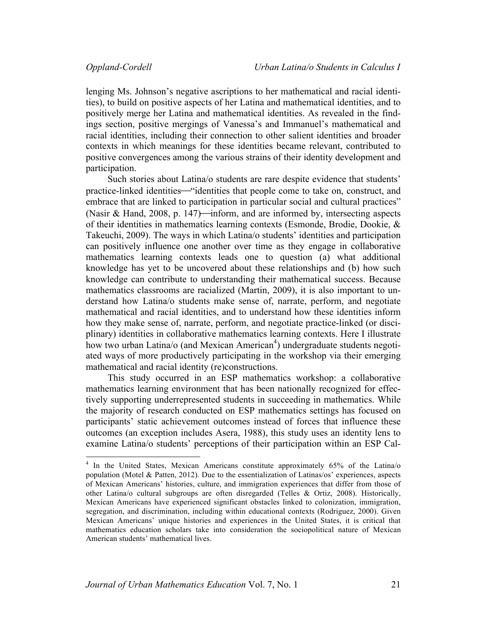lenging Ms. Johnson's negative ascriptions to her mathematical and racial identities), to build on positive aspects of her Latina and mathematical identities, and to positively merge her Latina and mathematical identities. As revealed in the findings section, positive mergings of Vanessa's and Immanuel's mathematical and racial identities, including their connection to other salient identities and broader contexts in which meanings for these identities became relevant, contributed to positive convergences among the various strains of their identity development and participation.

Such stories about Latina/o students are rare despite evidence that students' practice-linked identities—"identities that people come to take on, construct, and embrace that are linked to participation in particular social and cultural practices" (Nasir & Hand, 2008, p. 147)—inform, and are informed by, intersecting aspects of their identities in mathematics learning contexts (Esmonde, Brodie, Dookie, & Takeuchi, 2009). The ways in which Latina/o students' identities and participation can positively influence one another over time as they engage in collaborative mathematics learning contexts leads one to question (a) what additional knowledge has yet to be uncovered about these relationships and (b) how such knowledge can contribute to understanding their mathematical success. Because mathematics classrooms are racialized (Martin, 2009), it is also important to understand how Latina/o students make sense of, narrate, perform, and negotiate mathematical and racial identities, and to understand how these identities inform how they make sense of, narrate, perform, and negotiate practice-linked (or disciplinary) identities in collaborative mathematics learning contexts. Here I illustrate how two urban Latina/o (and Mexican American<sup>4</sup>) undergraduate students negotiated ways of more productively participating in the workshop via their emerging mathematical and racial identity (re)constructions.

This study occurred in an ESP mathematics workshop: a collaborative mathematics learning environment that has been nationally recognized for effectively supporting underrepresented students in succeeding in mathematics. While the majority of research conducted on ESP mathematics settings has focused on participants' static achievement outcomes instead of forces that influence these outcomes (an exception includes Asera, 1988), this study uses an identity lens to examine Latina/o students' perceptions of their participation within an ESP Cal-

<sup>&</sup>lt;sup>4</sup> In the United States, Mexican Americans constitute approximately 65% of the Latina/o population (Motel & Patten, 2012). Due to the essentialization of Latinas/os' experiences, aspects of Mexican Americans' histories, culture, and immigration experiences that differ from those of other Latina/o cultural subgroups are often disregarded (Telles & Ortiz, 2008). Historically, Mexican Americans have experienced significant obstacles linked to colonization, immigration, segregation, and discrimination, including within educational contexts (Rodriguez, 2000). Given Mexican Americans' unique histories and experiences in the United States, it is critical that mathematics education scholars take into consideration the sociopolitical nature of Mexican American students' mathematical lives.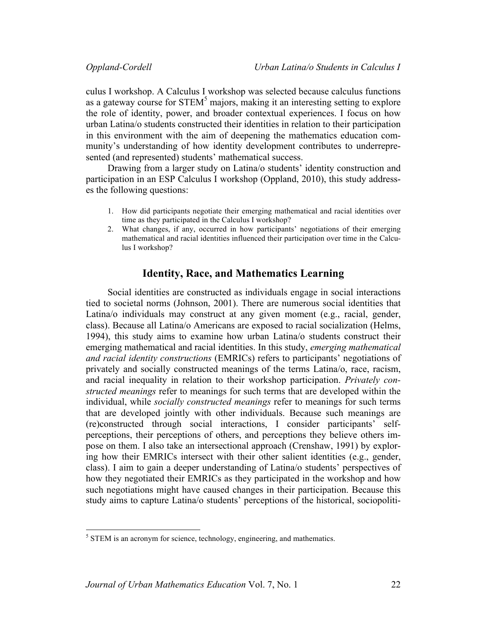culus I workshop. A Calculus I workshop was selected because calculus functions as a gateway course for  $STEM<sup>5</sup>$  majors, making it an interesting setting to explore the role of identity, power, and broader contextual experiences. I focus on how urban Latina/o students constructed their identities in relation to their participation in this environment with the aim of deepening the mathematics education community's understanding of how identity development contributes to underrepresented (and represented) students' mathematical success.

Drawing from a larger study on Latina/o students' identity construction and participation in an ESP Calculus I workshop (Oppland, 2010), this study addresses the following questions:

- 1. How did participants negotiate their emerging mathematical and racial identities over time as they participated in the Calculus I workshop?
- 2. What changes, if any, occurred in how participants' negotiations of their emerging mathematical and racial identities influenced their participation over time in the Calculus I workshop?

# **Identity, Race, and Mathematics Learning**

Social identities are constructed as individuals engage in social interactions tied to societal norms (Johnson, 2001). There are numerous social identities that Latina/o individuals may construct at any given moment (e.g., racial, gender, class). Because all Latina/o Americans are exposed to racial socialization (Helms, 1994), this study aims to examine how urban Latina/o students construct their emerging mathematical and racial identities. In this study, *emerging mathematical and racial identity constructions* (EMRICs) refers to participants' negotiations of privately and socially constructed meanings of the terms Latina/o, race, racism, and racial inequality in relation to their workshop participation. *Privately constructed meanings* refer to meanings for such terms that are developed within the individual, while *socially constructed meanings* refer to meanings for such terms that are developed jointly with other individuals. Because such meanings are (re)constructed through social interactions, I consider participants' selfperceptions, their perceptions of others, and perceptions they believe others impose on them. I also take an intersectional approach (Crenshaw, 1991) by exploring how their EMRICs intersect with their other salient identities (e.g., gender, class). I aim to gain a deeper understanding of Latina/o students' perspectives of how they negotiated their EMRICs as they participated in the workshop and how such negotiations might have caused changes in their participation. Because this study aims to capture Latina/o students' perceptions of the historical, sociopoliti-

 $<sup>5</sup>$  STEM is an acronym for science, technology, engineering, and mathematics.</sup>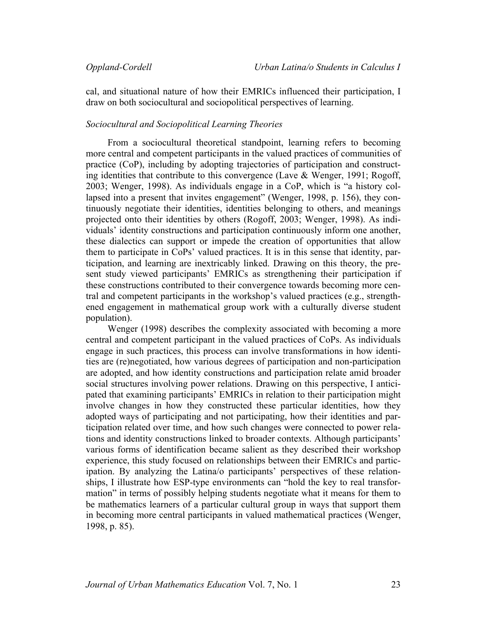cal, and situational nature of how their EMRICs influenced their participation, I draw on both sociocultural and sociopolitical perspectives of learning.

### *Sociocultural and Sociopolitical Learning Theories*

From a sociocultural theoretical standpoint, learning refers to becoming more central and competent participants in the valued practices of communities of practice (CoP), including by adopting trajectories of participation and constructing identities that contribute to this convergence (Lave  $\&$  Wenger, 1991; Rogoff, 2003; Wenger, 1998). As individuals engage in a CoP, which is "a history collapsed into a present that invites engagement" (Wenger, 1998, p. 156), they continuously negotiate their identities, identities belonging to others, and meanings projected onto their identities by others (Rogoff, 2003; Wenger, 1998). As individuals' identity constructions and participation continuously inform one another, these dialectics can support or impede the creation of opportunities that allow them to participate in CoPs' valued practices. It is in this sense that identity, participation, and learning are inextricably linked. Drawing on this theory, the present study viewed participants' EMRICs as strengthening their participation if these constructions contributed to their convergence towards becoming more central and competent participants in the workshop's valued practices (e.g., strengthened engagement in mathematical group work with a culturally diverse student population).

Wenger (1998) describes the complexity associated with becoming a more central and competent participant in the valued practices of CoPs. As individuals engage in such practices, this process can involve transformations in how identities are (re)negotiated, how various degrees of participation and non-participation are adopted, and how identity constructions and participation relate amid broader social structures involving power relations. Drawing on this perspective, I anticipated that examining participants' EMRICs in relation to their participation might involve changes in how they constructed these particular identities, how they adopted ways of participating and not participating, how their identities and participation related over time, and how such changes were connected to power relations and identity constructions linked to broader contexts. Although participants' various forms of identification became salient as they described their workshop experience, this study focused on relationships between their EMRICs and participation. By analyzing the Latina/o participants' perspectives of these relationships, I illustrate how ESP-type environments can "hold the key to real transformation" in terms of possibly helping students negotiate what it means for them to be mathematics learners of a particular cultural group in ways that support them in becoming more central participants in valued mathematical practices (Wenger, 1998, p. 85).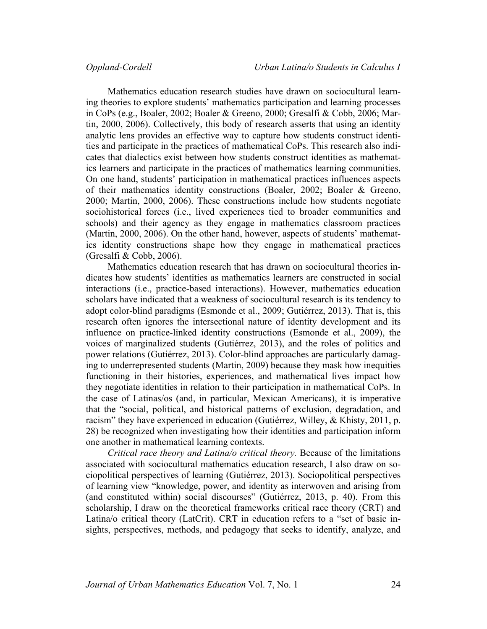Mathematics education research studies have drawn on sociocultural learning theories to explore students' mathematics participation and learning processes in CoPs (e.g., Boaler, 2002; Boaler & Greeno, 2000; Gresalfi & Cobb, 2006; Martin, 2000, 2006). Collectively, this body of research asserts that using an identity analytic lens provides an effective way to capture how students construct identities and participate in the practices of mathematical CoPs. This research also indicates that dialectics exist between how students construct identities as mathematics learners and participate in the practices of mathematics learning communities. On one hand, students' participation in mathematical practices influences aspects of their mathematics identity constructions (Boaler, 2002; Boaler & Greeno, 2000; Martin, 2000, 2006). These constructions include how students negotiate sociohistorical forces (i.e., lived experiences tied to broader communities and schools) and their agency as they engage in mathematics classroom practices (Martin, 2000, 2006). On the other hand, however, aspects of students' mathematics identity constructions shape how they engage in mathematical practices (Gresalfi & Cobb, 2006).

Mathematics education research that has drawn on sociocultural theories indicates how students' identities as mathematics learners are constructed in social interactions (i.e., practice-based interactions). However, mathematics education scholars have indicated that a weakness of sociocultural research is its tendency to adopt color-blind paradigms (Esmonde et al., 2009; Gutiérrez, 2013). That is, this research often ignores the intersectional nature of identity development and its influence on practice-linked identity constructions (Esmonde et al., 2009), the voices of marginalized students (Gutiérrez, 2013), and the roles of politics and power relations (Gutiérrez, 2013). Color-blind approaches are particularly damaging to underrepresented students (Martin, 2009) because they mask how inequities functioning in their histories, experiences, and mathematical lives impact how they negotiate identities in relation to their participation in mathematical CoPs. In the case of Latinas/os (and, in particular, Mexican Americans), it is imperative that the "social, political, and historical patterns of exclusion, degradation, and racism" they have experienced in education (Gutiérrez, Willey, & Khisty, 2011, p. 28) be recognized when investigating how their identities and participation inform one another in mathematical learning contexts.

*Critical race theory and Latina/o critical theory.* Because of the limitations associated with sociocultural mathematics education research, I also draw on sociopolitical perspectives of learning (Gutiérrez, 2013). Sociopolitical perspectives of learning view "knowledge, power, and identity as interwoven and arising from (and constituted within) social discourses" (Gutiérrez, 2013, p. 40). From this scholarship, I draw on the theoretical frameworks critical race theory (CRT) and Latina/o critical theory (LatCrit). CRT in education refers to a "set of basic insights, perspectives, methods, and pedagogy that seeks to identify, analyze, and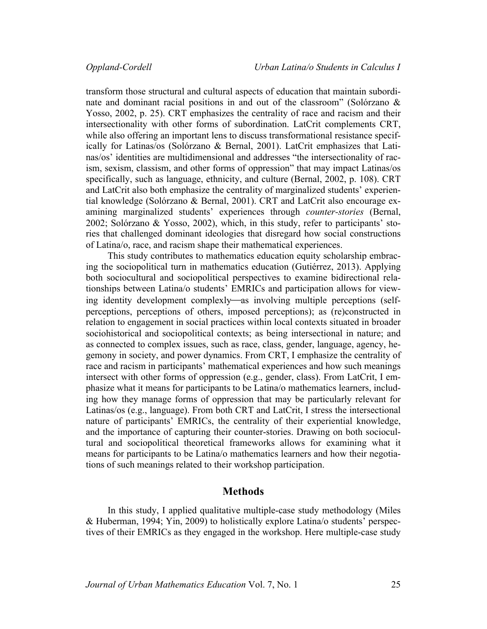transform those structural and cultural aspects of education that maintain subordinate and dominant racial positions in and out of the classroom" (Solórzano & Yosso, 2002, p. 25). CRT emphasizes the centrality of race and racism and their intersectionality with other forms of subordination. LatCrit complements CRT, while also offering an important lens to discuss transformational resistance specifically for Latinas/os (Solórzano & Bernal, 2001). LatCrit emphasizes that Latinas/os' identities are multidimensional and addresses "the intersectionality of racism, sexism, classism, and other forms of oppression" that may impact Latinas/os specifically, such as language, ethnicity, and culture (Bernal, 2002, p. 108). CRT and LatCrit also both emphasize the centrality of marginalized students' experiential knowledge (Solórzano & Bernal, 2001). CRT and LatCrit also encourage examining marginalized students' experiences through *counter-stories* (Bernal, 2002; Solórzano & Yosso, 2002), which, in this study, refer to participants' stories that challenged dominant ideologies that disregard how social constructions of Latina/o, race, and racism shape their mathematical experiences.

This study contributes to mathematics education equity scholarship embracing the sociopolitical turn in mathematics education (Gutiérrez, 2013). Applying both sociocultural and sociopolitical perspectives to examine bidirectional relationships between Latina/o students' EMRICs and participation allows for viewing identity development complexly—as involving multiple perceptions (selfperceptions, perceptions of others, imposed perceptions); as (re)constructed in relation to engagement in social practices within local contexts situated in broader sociohistorical and sociopolitical contexts; as being intersectional in nature; and as connected to complex issues, such as race, class, gender, language, agency, hegemony in society, and power dynamics. From CRT, I emphasize the centrality of race and racism in participants' mathematical experiences and how such meanings intersect with other forms of oppression (e.g., gender, class). From LatCrit, I emphasize what it means for participants to be Latina/o mathematics learners, including how they manage forms of oppression that may be particularly relevant for Latinas/os (e.g., language). From both CRT and LatCrit, I stress the intersectional nature of participants' EMRICs, the centrality of their experiential knowledge, and the importance of capturing their counter-stories. Drawing on both sociocultural and sociopolitical theoretical frameworks allows for examining what it means for participants to be Latina/o mathematics learners and how their negotiations of such meanings related to their workshop participation.

# **Methods**

In this study, I applied qualitative multiple-case study methodology (Miles & Huberman, 1994; Yin, 2009) to holistically explore Latina/o students' perspectives of their EMRICs as they engaged in the workshop. Here multiple-case study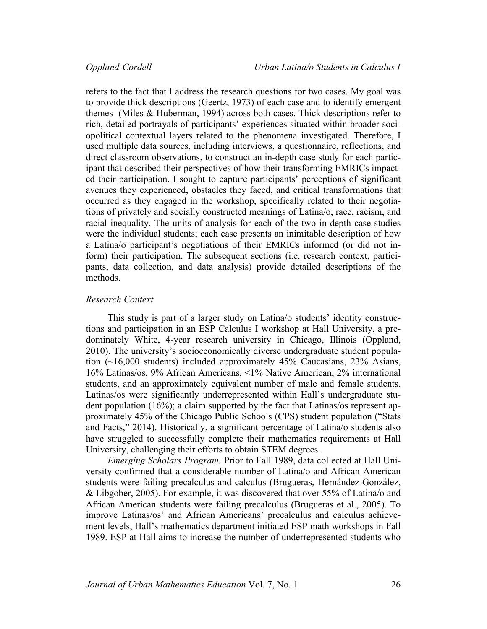refers to the fact that I address the research questions for two cases. My goal was to provide thick descriptions (Geertz, 1973) of each case and to identify emergent themes (Miles & Huberman, 1994) across both cases. Thick descriptions refer to rich, detailed portrayals of participants' experiences situated within broader sociopolitical contextual layers related to the phenomena investigated. Therefore, I used multiple data sources, including interviews, a questionnaire, reflections, and direct classroom observations, to construct an in-depth case study for each participant that described their perspectives of how their transforming EMRICs impacted their participation. I sought to capture participants' perceptions of significant avenues they experienced, obstacles they faced, and critical transformations that occurred as they engaged in the workshop, specifically related to their negotiations of privately and socially constructed meanings of Latina/o, race, racism, and racial inequality. The units of analysis for each of the two in-depth case studies were the individual students; each case presents an inimitable description of how a Latina/o participant's negotiations of their EMRICs informed (or did not inform) their participation. The subsequent sections (i.e. research context, participants, data collection, and data analysis) provide detailed descriptions of the methods.

# *Research Context*

This study is part of a larger study on Latina/o students' identity constructions and participation in an ESP Calculus I workshop at Hall University, a predominately White, 4-year research university in Chicago, Illinois (Oppland, 2010). The university's socioeconomically diverse undergraduate student population (~16,000 students) included approximately 45% Caucasians, 23% Asians, 16% Latinas/os, 9% African Americans, <1% Native American, 2% international students, and an approximately equivalent number of male and female students. Latinas/os were significantly underrepresented within Hall's undergraduate student population (16%); a claim supported by the fact that Latinas/os represent approximately 45% of the Chicago Public Schools (CPS) student population ("Stats and Facts," 2014). Historically, a significant percentage of Latina/o students also have struggled to successfully complete their mathematics requirements at Hall University, challenging their efforts to obtain STEM degrees.

*Emerging Scholars Program.* Prior to Fall 1989, data collected at Hall University confirmed that a considerable number of Latina/o and African American students were failing precalculus and calculus (Brugueras, Hernández-González, & Libgober, 2005). For example, it was discovered that over 55% of Latina/o and African American students were failing precalculus (Brugueras et al., 2005). To improve Latinas/os' and African Americans' precalculus and calculus achievement levels, Hall's mathematics department initiated ESP math workshops in Fall 1989. ESP at Hall aims to increase the number of underrepresented students who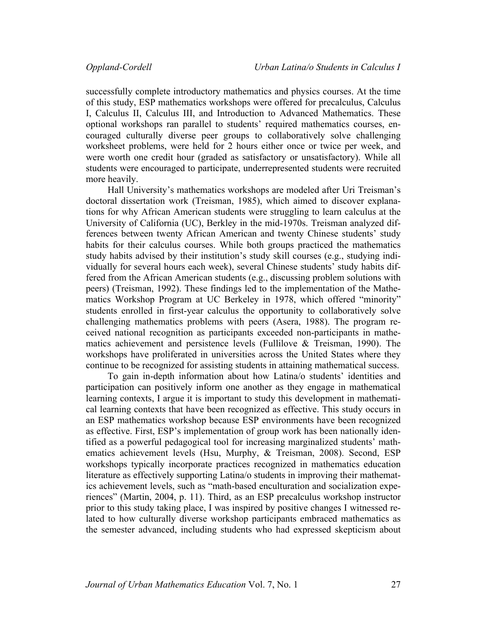successfully complete introductory mathematics and physics courses. At the time of this study, ESP mathematics workshops were offered for precalculus, Calculus I, Calculus II, Calculus III, and Introduction to Advanced Mathematics. These optional workshops ran parallel to students' required mathematics courses, encouraged culturally diverse peer groups to collaboratively solve challenging worksheet problems, were held for 2 hours either once or twice per week, and were worth one credit hour (graded as satisfactory or unsatisfactory). While all students were encouraged to participate, underrepresented students were recruited more heavily.

Hall University's mathematics workshops are modeled after Uri Treisman's doctoral dissertation work (Treisman, 1985), which aimed to discover explanations for why African American students were struggling to learn calculus at the University of California (UC), Berkley in the mid-1970s. Treisman analyzed differences between twenty African American and twenty Chinese students' study habits for their calculus courses. While both groups practiced the mathematics study habits advised by their institution's study skill courses (e.g., studying individually for several hours each week), several Chinese students' study habits differed from the African American students (e.g., discussing problem solutions with peers) (Treisman, 1992). These findings led to the implementation of the Mathematics Workshop Program at UC Berkeley in 1978, which offered "minority" students enrolled in first-year calculus the opportunity to collaboratively solve challenging mathematics problems with peers (Asera, 1988). The program received national recognition as participants exceeded non-participants in mathematics achievement and persistence levels (Fullilove & Treisman, 1990). The workshops have proliferated in universities across the United States where they continue to be recognized for assisting students in attaining mathematical success.

To gain in-depth information about how Latina/o students' identities and participation can positively inform one another as they engage in mathematical learning contexts, I argue it is important to study this development in mathematical learning contexts that have been recognized as effective. This study occurs in an ESP mathematics workshop because ESP environments have been recognized as effective. First, ESP's implementation of group work has been nationally identified as a powerful pedagogical tool for increasing marginalized students' mathematics achievement levels (Hsu, Murphy, & Treisman, 2008). Second, ESP workshops typically incorporate practices recognized in mathematics education literature as effectively supporting Latina/o students in improving their mathematics achievement levels, such as "math-based enculturation and socialization experiences" (Martin, 2004, p. 11). Third, as an ESP precalculus workshop instructor prior to this study taking place, I was inspired by positive changes I witnessed related to how culturally diverse workshop participants embraced mathematics as the semester advanced, including students who had expressed skepticism about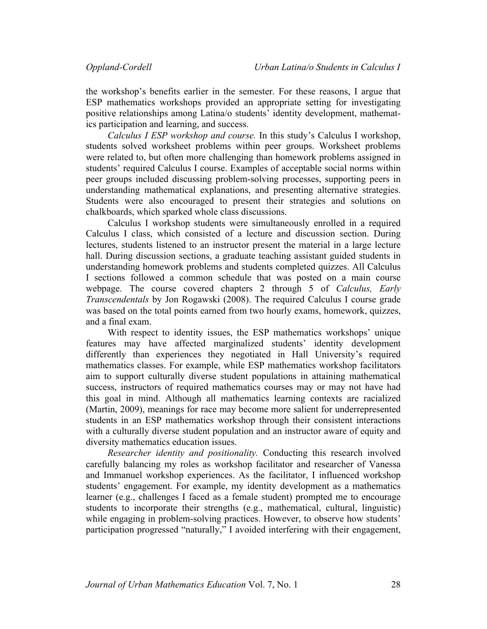the workshop's benefits earlier in the semester. For these reasons, I argue that ESP mathematics workshops provided an appropriate setting for investigating positive relationships among Latina/o students' identity development, mathematics participation and learning, and success.

*Calculus I ESP workshop and course.* In this study's Calculus I workshop, students solved worksheet problems within peer groups. Worksheet problems were related to, but often more challenging than homework problems assigned in students' required Calculus I course. Examples of acceptable social norms within peer groups included discussing problem-solving processes, supporting peers in understanding mathematical explanations, and presenting alternative strategies. Students were also encouraged to present their strategies and solutions on chalkboards, which sparked whole class discussions.

Calculus I workshop students were simultaneously enrolled in a required Calculus I class, which consisted of a lecture and discussion section. During lectures, students listened to an instructor present the material in a large lecture hall. During discussion sections, a graduate teaching assistant guided students in understanding homework problems and students completed quizzes. All Calculus I sections followed a common schedule that was posted on a main course webpage. The course covered chapters 2 through 5 of *Calculus, Early Transcendentals* by Jon Rogawski (2008). The required Calculus I course grade was based on the total points earned from two hourly exams, homework, quizzes, and a final exam.

With respect to identity issues, the ESP mathematics workshops' unique features may have affected marginalized students' identity development differently than experiences they negotiated in Hall University's required mathematics classes. For example, while ESP mathematics workshop facilitators aim to support culturally diverse student populations in attaining mathematical success, instructors of required mathematics courses may or may not have had this goal in mind. Although all mathematics learning contexts are racialized (Martin, 2009), meanings for race may become more salient for underrepresented students in an ESP mathematics workshop through their consistent interactions with a culturally diverse student population and an instructor aware of equity and diversity mathematics education issues.

*Researcher identity and positionality.* Conducting this research involved carefully balancing my roles as workshop facilitator and researcher of Vanessa and Immanuel workshop experiences. As the facilitator, I influenced workshop students' engagement. For example, my identity development as a mathematics learner (e.g., challenges I faced as a female student) prompted me to encourage students to incorporate their strengths (e.g., mathematical, cultural, linguistic) while engaging in problem-solving practices. However, to observe how students' participation progressed "naturally," I avoided interfering with their engagement,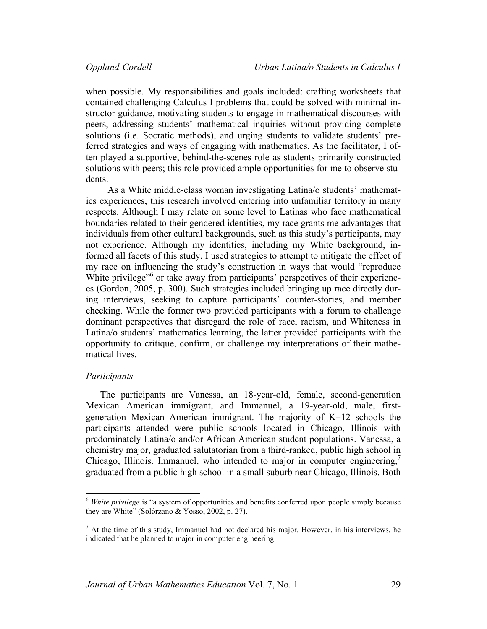when possible. My responsibilities and goals included: crafting worksheets that contained challenging Calculus I problems that could be solved with minimal instructor guidance, motivating students to engage in mathematical discourses with peers, addressing students' mathematical inquiries without providing complete solutions (i.e. Socratic methods), and urging students to validate students' preferred strategies and ways of engaging with mathematics. As the facilitator, I often played a supportive, behind-the-scenes role as students primarily constructed solutions with peers; this role provided ample opportunities for me to observe students.

As a White middle-class woman investigating Latina/o students' mathematics experiences, this research involved entering into unfamiliar territory in many respects. Although I may relate on some level to Latinas who face mathematical boundaries related to their gendered identities, my race grants me advantages that individuals from other cultural backgrounds, such as this study's participants, may not experience. Although my identities, including my White background, informed all facets of this study, I used strategies to attempt to mitigate the effect of my race on influencing the study's construction in ways that would "reproduce White privilege<sup>56</sup> or take away from participants' perspectives of their experiences (Gordon, 2005, p. 300). Such strategies included bringing up race directly during interviews, seeking to capture participants' counter-stories, and member checking. While the former two provided participants with a forum to challenge dominant perspectives that disregard the role of race, racism, and Whiteness in Latina/o students' mathematics learning, the latter provided participants with the opportunity to critique, confirm, or challenge my interpretations of their mathematical lives.

### *Participants*

<u> 1989 - Johann Stein, markin film yn y breninn y breninn y breninn y breninn y breninn y breninn y breninn y b</u>

The participants are Vanessa, an 18-year-old, female, second-generation Mexican American immigrant, and Immanuel, a 19-year-old, male, firstgeneration Mexican American immigrant. The majority of K−12 schools the participants attended were public schools located in Chicago, Illinois with predominately Latina/o and/or African American student populations. Vanessa, a chemistry major, graduated salutatorian from a third-ranked, public high school in Chicago, Illinois. Immanuel, who intended to major in computer engineering,<sup>7</sup> graduated from a public high school in a small suburb near Chicago, Illinois. Both

<sup>6</sup> *White privilege* is "a system of opportunities and benefits conferred upon people simply because they are White" (Solórzano & Yosso, 2002, p. 27).

 $<sup>7</sup>$  At the time of this study, Immanuel had not declared his major. However, in his interviews, he</sup> indicated that he planned to major in computer engineering.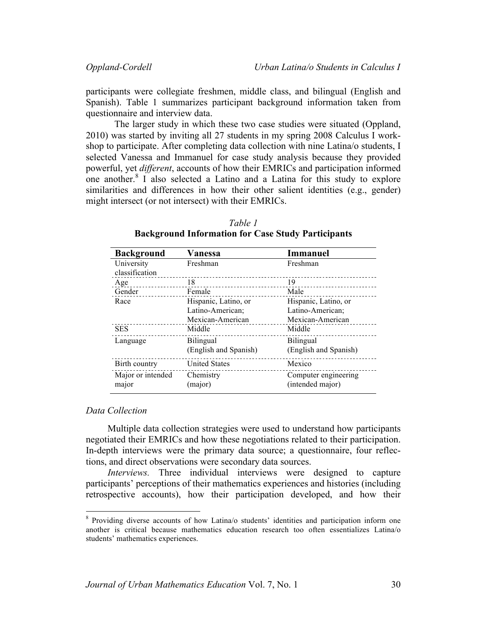participants were collegiate freshmen, middle class, and bilingual (English and Spanish). Table 1 summarizes participant background information taken from questionnaire and interview data.

The larger study in which these two case studies were situated (Oppland, 2010) was started by inviting all 27 students in my spring 2008 Calculus I workshop to participate. After completing data collection with nine Latina/o students, I selected Vanessa and Immanuel for case study analysis because they provided powerful, yet *different*, accounts of how their EMRICs and participation informed one another.<sup>8</sup> I also selected a Latino and a Latina for this study to explore similarities and differences in how their other salient identities (e.g., gender) might intersect (or not intersect) with their EMRICs.

| <b>Background</b>            | Vanessa               | <b>Immanuel</b>       |
|------------------------------|-----------------------|-----------------------|
| University<br>classification | Freshman              | Freshman              |
| Age                          | 18                    | 19                    |
| Gender                       | Female                | Male                  |
| Race                         | Hispanic, Latino, or  | Hispanic, Latino, or  |
|                              | Latino-American;      | Latino-American;      |
|                              | Mexican-American      | Mexican-American      |
| <b>SES</b>                   | Middle                | Middle                |
| Language                     | <b>Bilingual</b>      | <b>Bilingual</b>      |
|                              | (English and Spanish) | (English and Spanish) |
| Birth country                | <b>United States</b>  | Mexico                |
| Major or intended            | Chemistry             | Computer engineering  |
| major                        | (major)               | (intended major)      |

*Table 1* **Background Information for Case Study Participants**

### *Data Collection*

 

Multiple data collection strategies were used to understand how participants negotiated their EMRICs and how these negotiations related to their participation. In-depth interviews were the primary data source; a questionnaire, four reflections, and direct observations were secondary data sources.

*Interviews.* Three individual interviews were designed to capture participants' perceptions of their mathematics experiences and histories (including retrospective accounts), how their participation developed, and how their

<sup>8</sup> Providing diverse accounts of how Latina/o students' identities and participation inform one another is critical because mathematics education research too often essentializes Latina/o students' mathematics experiences.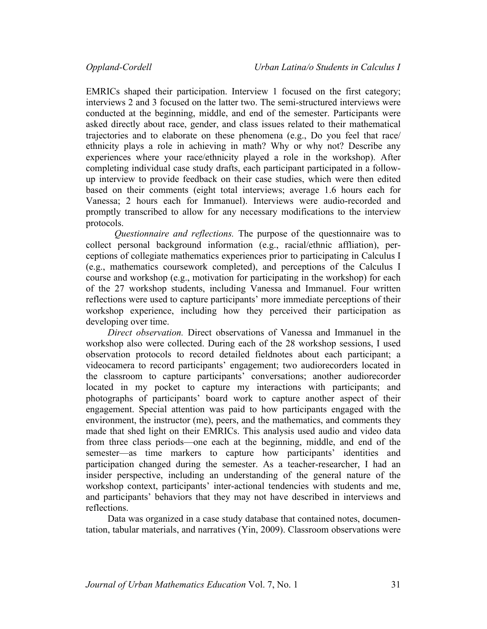EMRICs shaped their participation. Interview 1 focused on the first category; interviews 2 and 3 focused on the latter two. The semi-structured interviews were conducted at the beginning, middle, and end of the semester. Participants were asked directly about race, gender, and class issues related to their mathematical trajectories and to elaborate on these phenomena (e.g., Do you feel that race/ ethnicity plays a role in achieving in math? Why or why not? Describe any experiences where your race/ethnicity played a role in the workshop). After completing individual case study drafts, each participant participated in a followup interview to provide feedback on their case studies, which were then edited based on their comments (eight total interviews; average 1.6 hours each for Vanessa; 2 hours each for Immanuel). Interviews were audio-recorded and promptly transcribed to allow for any necessary modifications to the interview protocols.

*Questionnaire and reflections.* The purpose of the questionnaire was to collect personal background information (e.g., racial/ethnic affliation), perceptions of collegiate mathematics experiences prior to participating in Calculus I (e.g., mathematics coursework completed), and perceptions of the Calculus I course and workshop (e.g., motivation for participating in the workshop) for each of the 27 workshop students, including Vanessa and Immanuel. Four written reflections were used to capture participants' more immediate perceptions of their workshop experience, including how they perceived their participation as developing over time.

*Direct observation.* Direct observations of Vanessa and Immanuel in the workshop also were collected. During each of the 28 workshop sessions, I used observation protocols to record detailed fieldnotes about each participant; a videocamera to record participants' engagement; two audiorecorders located in the classroom to capture participants' conversations; another audiorecorder located in my pocket to capture my interactions with participants; and photographs of participants' board work to capture another aspect of their engagement. Special attention was paid to how participants engaged with the environment, the instructor (me), peers, and the mathematics, and comments they made that shed light on their EMRICs. This analysis used audio and video data from three class periods—one each at the beginning, middle, and end of the semester—as time markers to capture how participants' identities and participation changed during the semester. As a teacher-researcher, I had an insider perspective, including an understanding of the general nature of the workshop context, participants' inter-actional tendencies with students and me, and participants' behaviors that they may not have described in interviews and reflections.

Data was organized in a case study database that contained notes, documentation, tabular materials, and narratives (Yin, 2009). Classroom observations were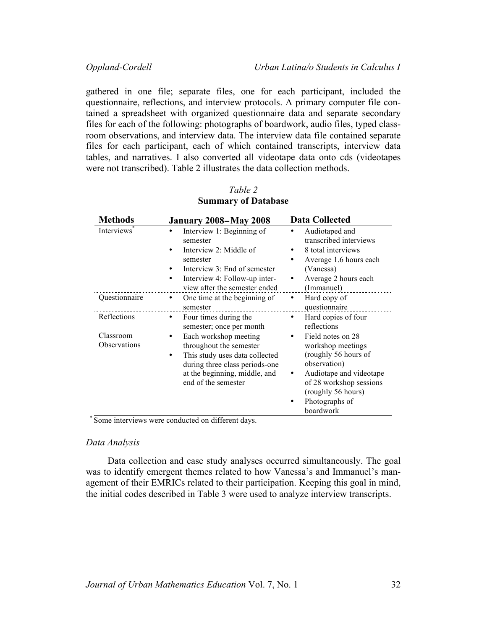gathered in one file; separate files, one for each participant, included the questionnaire, reflections, and interview protocols. A primary computer file contained a spreadsheet with organized questionnaire data and separate secondary files for each of the following: photographs of boardwork, audio files, typed classroom observations, and interview data. The interview data file contained separate files for each participant, each of which contained transcripts, interview data tables, and narratives. I also converted all videotape data onto cds (videotapes were not transcribed). Table 2 illustrates the data collection methods.

| <b>Methods</b>                   | <b>January 2008–May 2008</b>                                                                                                                                                           | <b>Data Collected</b>                                                                                                                                                                               |
|----------------------------------|----------------------------------------------------------------------------------------------------------------------------------------------------------------------------------------|-----------------------------------------------------------------------------------------------------------------------------------------------------------------------------------------------------|
| <b>Interviews</b>                | Interview 1: Beginning of<br>semester<br>Interview 2: Middle of<br>semester<br>Interview 3: End of semester<br>Interview 4: Follow-up inter-<br>٠<br>view after the semester ended     | Audiotaped and<br>transcribed interviews<br>8 total interviews<br>Average 1.6 hours each<br>٠<br>(Vanessa)<br>Average 2 hours each<br>٠<br>(Immanuel)                                               |
| Questionnaire                    | One time at the beginning of<br>٠<br>semester                                                                                                                                          | Hard copy of<br>٠<br>questionnaire                                                                                                                                                                  |
| Reflections                      | Four times during the<br>٠<br>semester; once per month                                                                                                                                 | Hard copies of four<br>٠<br>reflections                                                                                                                                                             |
| Classroom<br><b>Observations</b> | Each workshop meeting<br>٠<br>throughout the semester<br>This study uses data collected<br>٠<br>during three class periods-one<br>at the beginning, middle, and<br>end of the semester | Field notes on 28<br>٠<br>workshop meetings<br>(roughly 56 hours of<br>observation)<br>Audiotape and videotape<br>٠<br>of 28 workshop sessions<br>(roughly 56 hours)<br>Photographs of<br>boardwork |

*Table 2* **Summary of Database**

\* Some interviews were conducted on different days.

### *Data Analysis*

Data collection and case study analyses occurred simultaneously. The goal was to identify emergent themes related to how Vanessa's and Immanuel's management of their EMRICs related to their participation. Keeping this goal in mind, the initial codes described in Table 3 were used to analyze interview transcripts.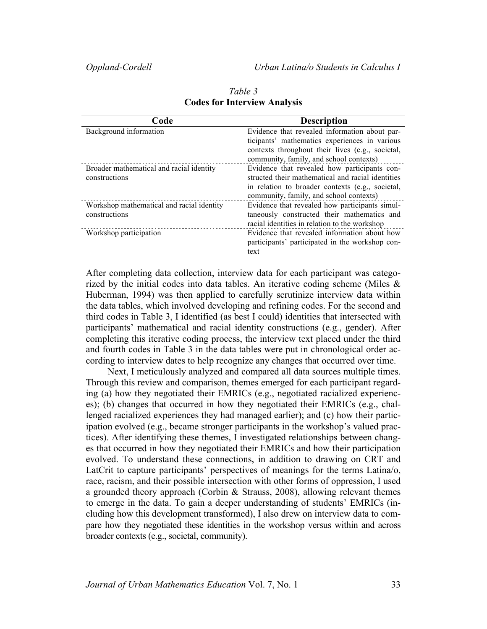| Code                                      | <b>Description</b>                                |
|-------------------------------------------|---------------------------------------------------|
| Background information                    | Evidence that revealed information about par-     |
|                                           | ticipants' mathematics experiences in various     |
|                                           | contexts throughout their lives (e.g., societal,  |
|                                           | community, family, and school contexts)           |
| Broader mathematical and racial identity  | Evidence that revealed how participants con-      |
| constructions                             | structed their mathematical and racial identities |
|                                           | in relation to broader contexts (e.g., societal,  |
|                                           | community, family, and school contexts)           |
| Workshop mathematical and racial identity | Evidence that revealed how participants simul-    |
| constructions                             | taneously constructed their mathematics and       |
|                                           | racial identities in relation to the workshop     |
| Workshop participation                    | Evidence that revealed information about how      |
|                                           | participants' participated in the workshop con-   |
|                                           | text                                              |

*Table 3* **Codes for Interview Analysis**

After completing data collection, interview data for each participant was categorized by the initial codes into data tables. An iterative coding scheme (Miles  $\&$ Huberman, 1994) was then applied to carefully scrutinize interview data within the data tables, which involved developing and refining codes. For the second and third codes in Table 3, I identified (as best I could) identities that intersected with participants' mathematical and racial identity constructions (e.g., gender). After completing this iterative coding process, the interview text placed under the third and fourth codes in Table 3 in the data tables were put in chronological order according to interview dates to help recognize any changes that occurred over time.

Next, I meticulously analyzed and compared all data sources multiple times. Through this review and comparison, themes emerged for each participant regarding (a) how they negotiated their EMRICs (e.g., negotiated racialized experiences); (b) changes that occurred in how they negotiated their EMRICs (e.g., challenged racialized experiences they had managed earlier); and (c) how their participation evolved (e.g., became stronger participants in the workshop's valued practices). After identifying these themes, I investigated relationships between changes that occurred in how they negotiated their EMRICs and how their participation evolved. To understand these connections, in addition to drawing on CRT and LatCrit to capture participants' perspectives of meanings for the terms Latina/o, race, racism, and their possible intersection with other forms of oppression, I used a grounded theory approach (Corbin & Strauss, 2008), allowing relevant themes to emerge in the data. To gain a deeper understanding of students' EMRICs (including how this development transformed), I also drew on interview data to compare how they negotiated these identities in the workshop versus within and across broader contexts (e.g., societal, community).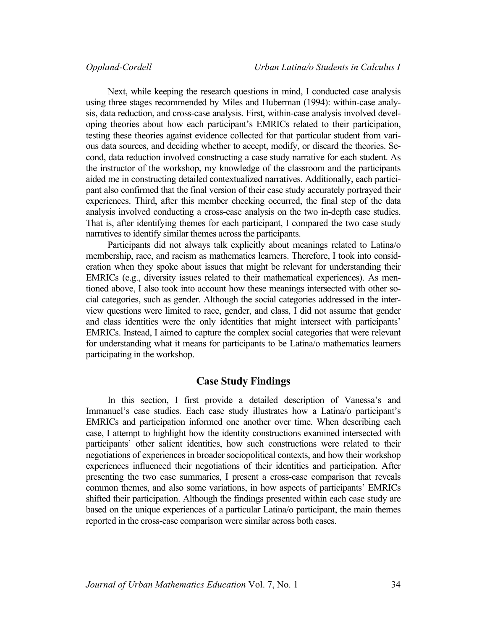Next, while keeping the research questions in mind, I conducted case analysis using three stages recommended by Miles and Huberman (1994): within-case analysis, data reduction, and cross-case analysis. First, within-case analysis involved developing theories about how each participant's EMRICs related to their participation, testing these theories against evidence collected for that particular student from various data sources, and deciding whether to accept, modify, or discard the theories. Second, data reduction involved constructing a case study narrative for each student. As the instructor of the workshop, my knowledge of the classroom and the participants aided me in constructing detailed contextualized narratives. Additionally, each participant also confirmed that the final version of their case study accurately portrayed their experiences. Third, after this member checking occurred, the final step of the data analysis involved conducting a cross-case analysis on the two in-depth case studies. That is, after identifying themes for each participant, I compared the two case study narratives to identify similar themes across the participants.

Participants did not always talk explicitly about meanings related to Latina/o membership, race, and racism as mathematics learners. Therefore, I took into consideration when they spoke about issues that might be relevant for understanding their EMRICs (e.g., diversity issues related to their mathematical experiences). As mentioned above, I also took into account how these meanings intersected with other social categories, such as gender. Although the social categories addressed in the interview questions were limited to race, gender, and class, I did not assume that gender and class identities were the only identities that might intersect with participants' EMRICs. Instead, I aimed to capture the complex social categories that were relevant for understanding what it means for participants to be Latina/o mathematics learners participating in the workshop.

# **Case Study Findings**

In this section, I first provide a detailed description of Vanessa's and Immanuel's case studies. Each case study illustrates how a Latina/o participant's EMRICs and participation informed one another over time. When describing each case, I attempt to highlight how the identity constructions examined intersected with participants' other salient identities, how such constructions were related to their negotiations of experiences in broader sociopolitical contexts, and how their workshop experiences influenced their negotiations of their identities and participation. After presenting the two case summaries, I present a cross-case comparison that reveals common themes, and also some variations, in how aspects of participants' EMRICs shifted their participation. Although the findings presented within each case study are based on the unique experiences of a particular Latina/o participant, the main themes reported in the cross-case comparison were similar across both cases.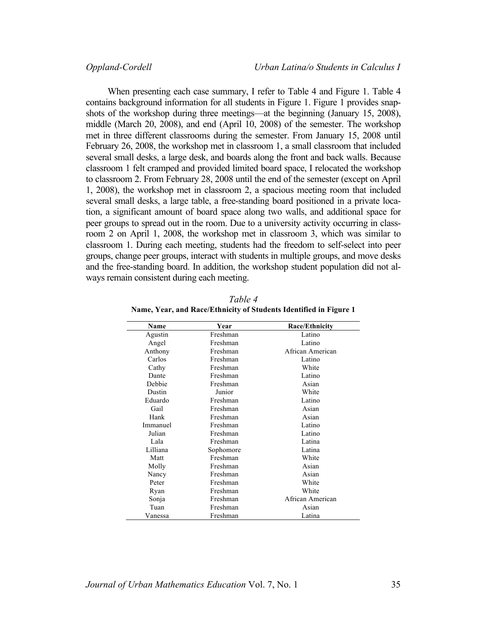When presenting each case summary, I refer to Table 4 and Figure 1. Table 4 contains background information for all students in Figure 1. Figure 1 provides snapshots of the workshop during three meetings—at the beginning (January 15, 2008), middle (March 20, 2008), and end (April 10, 2008) of the semester. The workshop met in three different classrooms during the semester. From January 15, 2008 until February 26, 2008, the workshop met in classroom 1, a small classroom that included several small desks, a large desk, and boards along the front and back walls. Because classroom 1 felt cramped and provided limited board space, I relocated the workshop to classroom 2. From February 28, 2008 until the end of the semester (except on April 1, 2008), the workshop met in classroom 2, a spacious meeting room that included several small desks, a large table, a free-standing board positioned in a private location, a significant amount of board space along two walls, and additional space for peer groups to spread out in the room. Due to a university activity occurring in classroom 2 on April 1, 2008, the workshop met in classroom 3, which was similar to classroom 1. During each meeting, students had the freedom to self-select into peer groups, change peer groups, interact with students in multiple groups, and move desks and the free-standing board. In addition, the workshop student population did not always remain consistent during each meeting.

| Name     | Year      | <b>Race/Ethnicity</b> |
|----------|-----------|-----------------------|
| Agustin  | Freshman  | Latino                |
| Angel    | Freshman  | Latino                |
| Anthony  | Freshman  | African American      |
| Carlos   | Freshman  | Latino                |
| Cathy    | Freshman  | White                 |
| Dante    | Freshman  | Latino                |
| Debbie   | Freshman  | Asian                 |
| Dustin   | Junior    | White                 |
| Eduardo  | Freshman  | Latino                |
| Gail     | Freshman  | Asian                 |
| Hank     | Freshman  | Asian                 |
| Immanuel | Freshman  | Latino                |
| Julian   | Freshman  | Latino                |
| Lala     | Freshman  | Latina                |
| Lilliana | Sophomore | Latina                |
| Matt     | Freshman  | White                 |
| Molly    | Freshman  | Asian                 |
| Nancy    | Freshman  | Asian                 |
| Peter    | Freshman  | White                 |
| Ryan     | Freshman  | White                 |
| Sonja    | Freshman  | African American      |
| Tuan     | Freshman  | Asian                 |
| Vanessa  | Freshman  | Latina                |

*Table 4* **Name, Year, and Race/Ethnicity of Students Identified in Figure 1**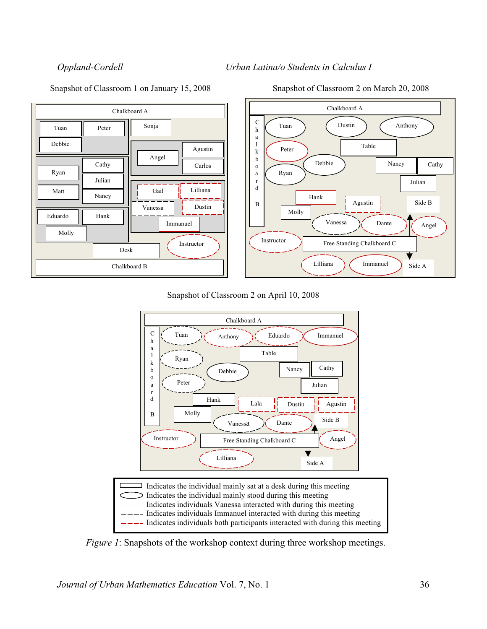



### Snapshot of Classroom 2 on April 10, 2008



*Figure 1*: Snapshots of the workshop context during three workshop meetings.

Snapshot of Classroom 1 on January 15, 2008 Snapshot of Classroom 2 on March 20, 2008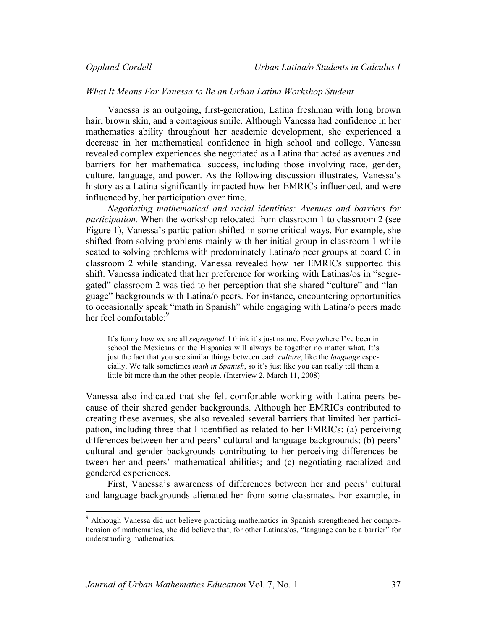### *What It Means For Vanessa to Be an Urban Latina Workshop Student*

Vanessa is an outgoing, first-generation, Latina freshman with long brown hair, brown skin, and a contagious smile. Although Vanessa had confidence in her mathematics ability throughout her academic development, she experienced a decrease in her mathematical confidence in high school and college. Vanessa revealed complex experiences she negotiated as a Latina that acted as avenues and barriers for her mathematical success, including those involving race, gender, culture, language, and power. As the following discussion illustrates, Vanessa's history as a Latina significantly impacted how her EMRICs influenced, and were influenced by, her participation over time.

*Negotiating mathematical and racial identities: Avenues and barriers for participation.* When the workshop relocated from classroom 1 to classroom 2 (see Figure 1), Vanessa's participation shifted in some critical ways. For example, she shifted from solving problems mainly with her initial group in classroom 1 while seated to solving problems with predominately Latina/o peer groups at board C in classroom 2 while standing. Vanessa revealed how her EMRICs supported this shift. Vanessa indicated that her preference for working with Latinas/os in "segregated" classroom 2 was tied to her perception that she shared "culture" and "language" backgrounds with Latina/o peers. For instance, encountering opportunities to occasionally speak "math in Spanish" while engaging with Latina/o peers made her feel comfortable:<sup>9</sup>

It's funny how we are all *segregated*. I think it's just nature. Everywhere I've been in school the Mexicans or the Hispanics will always be together no matter what. It's just the fact that you see similar things between each *culture*, like the *language* especially. We talk sometimes *math in Spanish*, so it's just like you can really tell them a little bit more than the other people. (Interview 2, March 11, 2008)

Vanessa also indicated that she felt comfortable working with Latina peers because of their shared gender backgrounds. Although her EMRICs contributed to creating these avenues, she also revealed several barriers that limited her participation, including three that I identified as related to her EMRICs: (a) perceiving differences between her and peers' cultural and language backgrounds; (b) peers' cultural and gender backgrounds contributing to her perceiving differences between her and peers' mathematical abilities; and (c) negotiating racialized and gendered experiences.

First, Vanessa's awareness of differences between her and peers' cultural and language backgrounds alienated her from some classmates. For example, in

 

<sup>9</sup> Although Vanessa did not believe practicing mathematics in Spanish strengthened her comprehension of mathematics, she did believe that, for other Latinas/os, "language can be a barrier" for understanding mathematics.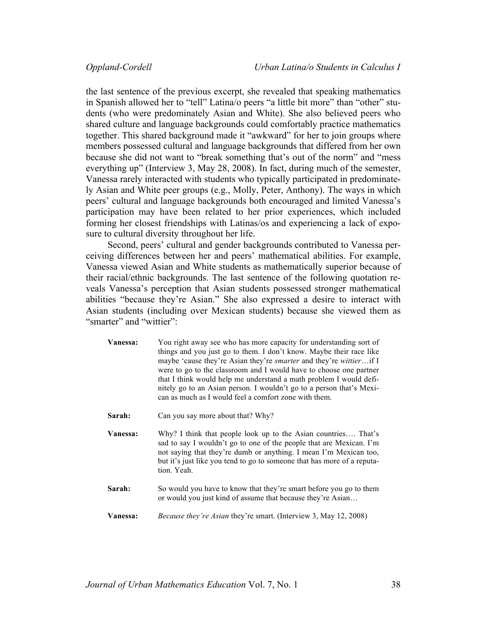the last sentence of the previous excerpt, she revealed that speaking mathematics in Spanish allowed her to "tell" Latina/o peers "a little bit more" than "other" students (who were predominately Asian and White). She also believed peers who shared culture and language backgrounds could comfortably practice mathematics together. This shared background made it "awkward" for her to join groups where members possessed cultural and language backgrounds that differed from her own because she did not want to "break something that's out of the norm" and "mess everything up" (Interview 3, May 28, 2008). In fact, during much of the semester, Vanessa rarely interacted with students who typically participated in predominately Asian and White peer groups (e.g., Molly, Peter, Anthony). The ways in which peers' cultural and language backgrounds both encouraged and limited Vanessa's participation may have been related to her prior experiences, which included forming her closest friendships with Latinas/os and experiencing a lack of exposure to cultural diversity throughout her life.

Second, peers' cultural and gender backgrounds contributed to Vanessa perceiving differences between her and peers' mathematical abilities. For example, Vanessa viewed Asian and White students as mathematically superior because of their racial/ethnic backgrounds. The last sentence of the following quotation reveals Vanessa's perception that Asian students possessed stronger mathematical abilities "because they're Asian." She also expressed a desire to interact with Asian students (including over Mexican students) because she viewed them as "smarter" and "wittier"

| Vanessa: | You right away see who has more capacity for understanding sort of<br>things and you just go to them. I don't know. Maybe their race like<br>maybe 'cause they're Asian they're <i>smarter</i> and they're <i>wittier</i> if I<br>were to go to the classroom and I would have to choose one partner<br>that I think would help me understand a math problem I would defi-<br>nitely go to an Asian person. I wouldn't go to a person that's Mexi-<br>can as much as I would feel a comfort zone with them. |
|----------|-------------------------------------------------------------------------------------------------------------------------------------------------------------------------------------------------------------------------------------------------------------------------------------------------------------------------------------------------------------------------------------------------------------------------------------------------------------------------------------------------------------|
| Sarah:   | Can you say more about that? Why?                                                                                                                                                                                                                                                                                                                                                                                                                                                                           |
| Vanessa: | Why? I think that people look up to the Asian countries That's<br>sad to say I wouldn't go to one of the people that are Mexican. I'm<br>not saying that they're dumb or anything. I mean I'm Mexican too,<br>but it's just like you tend to go to someone that has more of a reputa-<br>tion. Yeah.                                                                                                                                                                                                        |
| Sarah:   | So would you have to know that they're smart before you go to them<br>or would you just kind of assume that because they're Asian                                                                                                                                                                                                                                                                                                                                                                           |
| Vanessa: | Because they're Asian they're smart. (Interview 3, May 12, 2008)                                                                                                                                                                                                                                                                                                                                                                                                                                            |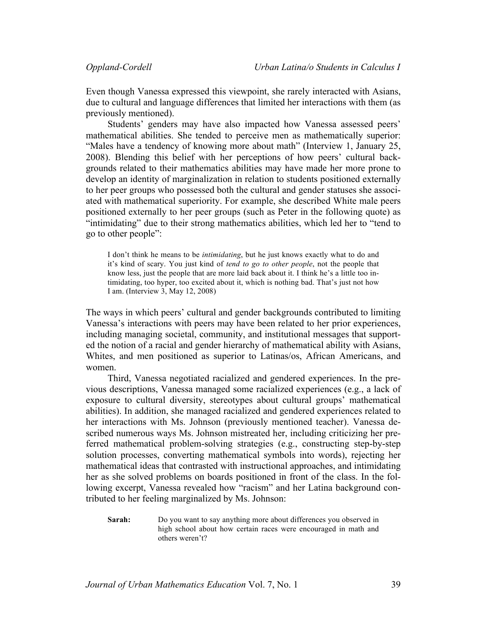Even though Vanessa expressed this viewpoint, she rarely interacted with Asians, due to cultural and language differences that limited her interactions with them (as previously mentioned).

Students' genders may have also impacted how Vanessa assessed peers' mathematical abilities. She tended to perceive men as mathematically superior: "Males have a tendency of knowing more about math" (Interview 1, January 25, 2008). Blending this belief with her perceptions of how peers' cultural backgrounds related to their mathematics abilities may have made her more prone to develop an identity of marginalization in relation to students positioned externally to her peer groups who possessed both the cultural and gender statuses she associated with mathematical superiority. For example, she described White male peers positioned externally to her peer groups (such as Peter in the following quote) as "intimidating" due to their strong mathematics abilities, which led her to "tend to go to other people":

I don't think he means to be *intimidating*, but he just knows exactly what to do and it's kind of scary. You just kind of *tend to go to other people*, not the people that know less, just the people that are more laid back about it. I think he's a little too intimidating, too hyper, too excited about it, which is nothing bad. That's just not how I am. (Interview 3, May 12, 2008)

The ways in which peers' cultural and gender backgrounds contributed to limiting Vanessa's interactions with peers may have been related to her prior experiences, including managing societal, community, and institutional messages that supported the notion of a racial and gender hierarchy of mathematical ability with Asians, Whites, and men positioned as superior to Latinas/os, African Americans, and women.

Third, Vanessa negotiated racialized and gendered experiences. In the previous descriptions, Vanessa managed some racialized experiences (e.g., a lack of exposure to cultural diversity, stereotypes about cultural groups' mathematical abilities). In addition, she managed racialized and gendered experiences related to her interactions with Ms. Johnson (previously mentioned teacher). Vanessa described numerous ways Ms. Johnson mistreated her, including criticizing her preferred mathematical problem-solving strategies (e.g., constructing step-by-step solution processes, converting mathematical symbols into words), rejecting her mathematical ideas that contrasted with instructional approaches, and intimidating her as she solved problems on boards positioned in front of the class. In the following excerpt, Vanessa revealed how "racism" and her Latina background contributed to her feeling marginalized by Ms. Johnson:

**Sarah:** Do you want to say anything more about differences you observed in high school about how certain races were encouraged in math and others weren't?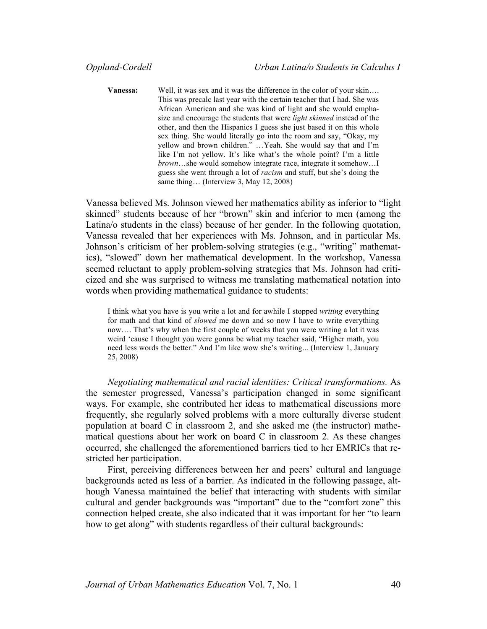**Vanessa:** Well, it was sex and it was the difference in the color of your skin... This was precalc last year with the certain teacher that I had. She was African American and she was kind of light and she would emphasize and encourage the students that were *light skinned* instead of the other, and then the Hispanics I guess she just based it on this whole sex thing. She would literally go into the room and say, "Okay, my yellow and brown children." …Yeah. She would say that and I'm like I'm not yellow. It's like what's the whole point? I'm a little *brown*…she would somehow integrate race, integrate it somehow…I guess she went through a lot of *racism* and stuff, but she's doing the same thing... (Interview 3, May 12, 2008)

Vanessa believed Ms. Johnson viewed her mathematics ability as inferior to "light skinned" students because of her "brown" skin and inferior to men (among the Latina/o students in the class) because of her gender. In the following quotation, Vanessa revealed that her experiences with Ms. Johnson, and in particular Ms. Johnson's criticism of her problem-solving strategies (e.g., "writing" mathematics), "slowed" down her mathematical development. In the workshop, Vanessa seemed reluctant to apply problem-solving strategies that Ms. Johnson had criticized and she was surprised to witness me translating mathematical notation into words when providing mathematical guidance to students:

I think what you have is you write a lot and for awhile I stopped *writing* everything for math and that kind of *slowed* me down and so now I have to write everything now…. That's why when the first couple of weeks that you were writing a lot it was weird 'cause I thought you were gonna be what my teacher said, "Higher math, you need less words the better." And I'm like wow she's writing... (Interview 1, January 25, 2008)

*Negotiating mathematical and racial identities: Critical transformations.* As the semester progressed, Vanessa's participation changed in some significant ways. For example, she contributed her ideas to mathematical discussions more frequently, she regularly solved problems with a more culturally diverse student population at board C in classroom 2, and she asked me (the instructor) mathematical questions about her work on board C in classroom 2. As these changes occurred, she challenged the aforementioned barriers tied to her EMRICs that restricted her participation.

First, perceiving differences between her and peers' cultural and language backgrounds acted as less of a barrier. As indicated in the following passage, although Vanessa maintained the belief that interacting with students with similar cultural and gender backgrounds was "important" due to the "comfort zone" this connection helped create, she also indicated that it was important for her "to learn how to get along" with students regardless of their cultural backgrounds: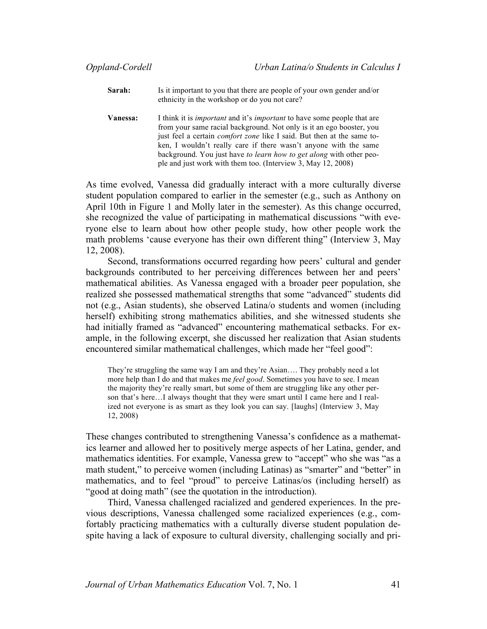- **Sarah:** Is it important to you that there are people of your own gender and/or ethnicity in the workshop or do you not care?
- **Vanessa:** I think it is *important* and it's *important* to have some people that are from your same racial background. Not only is it an ego booster, you just feel a certain *comfort zone* like I said. But then at the same token, I wouldn't really care if there wasn't anyone with the same background. You just have *to learn how to get along* with other people and just work with them too. (Interview 3, May 12, 2008)

As time evolved, Vanessa did gradually interact with a more culturally diverse student population compared to earlier in the semester (e.g., such as Anthony on April 10th in Figure 1 and Molly later in the semester). As this change occurred, she recognized the value of participating in mathematical discussions "with everyone else to learn about how other people study, how other people work the math problems 'cause everyone has their own different thing" (Interview 3, May 12, 2008).

Second, transformations occurred regarding how peers' cultural and gender backgrounds contributed to her perceiving differences between her and peers' mathematical abilities. As Vanessa engaged with a broader peer population, she realized she possessed mathematical strengths that some "advanced" students did not (e.g., Asian students), she observed Latina/o students and women (including herself) exhibiting strong mathematics abilities, and she witnessed students she had initially framed as "advanced" encountering mathematical setbacks. For example, in the following excerpt, she discussed her realization that Asian students encountered similar mathematical challenges, which made her "feel good":

They're struggling the same way I am and they're Asian…. They probably need a lot more help than I do and that makes me *feel good*. Sometimes you have to see. I mean the majority they're really smart, but some of them are struggling like any other person that's here…I always thought that they were smart until I came here and I realized not everyone is as smart as they look you can say. [laughs] (Interview 3, May 12, 2008)

These changes contributed to strengthening Vanessa's confidence as a mathematics learner and allowed her to positively merge aspects of her Latina, gender, and mathematics identities. For example, Vanessa grew to "accept" who she was "as a math student," to perceive women (including Latinas) as "smarter" and "better" in mathematics, and to feel "proud" to perceive Latinas/os (including herself) as "good at doing math" (see the quotation in the introduction).

Third, Vanessa challenged racialized and gendered experiences. In the previous descriptions, Vanessa challenged some racialized experiences (e.g., comfortably practicing mathematics with a culturally diverse student population despite having a lack of exposure to cultural diversity, challenging socially and pri-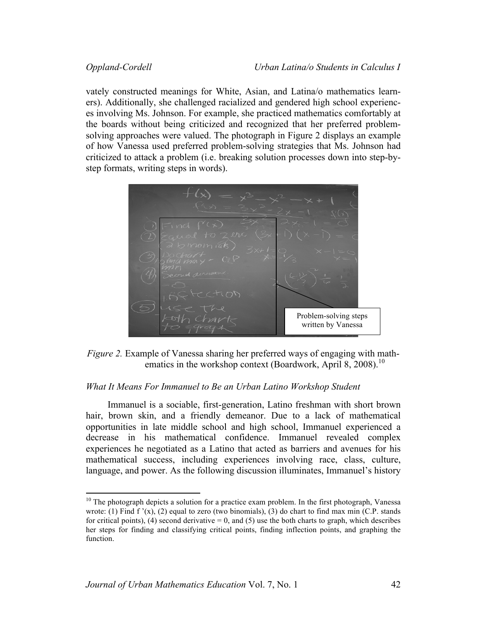vately constructed meanings for White, Asian, and Latina/o mathematics learners). Additionally, she challenged racialized and gendered high school experiences involving Ms. Johnson. For example, she practiced mathematics comfortably at the boards without being criticized and recognized that her preferred problemsolving approaches were valued. The photograph in Figure 2 displays an example of how Vanessa used preferred problem-solving strategies that Ms. Johnson had criticized to attack a problem (i.e. breaking solution processes down into step-bystep formats, writing steps in words).





# *What It Means For Immanuel to Be an Urban Latino Workshop Student*

Immanuel is a sociable, first-generation, Latino freshman with short brown hair, brown skin, and a friendly demeanor. Due to a lack of mathematical opportunities in late middle school and high school, Immanuel experienced a decrease in his mathematical confidence. Immanuel revealed complex experiences he negotiated as a Latino that acted as barriers and avenues for his mathematical success, including experiences involving race, class, culture, language, and power. As the following discussion illuminates, Immanuel's history

 $10$  The photograph depicts a solution for a practice exam problem. In the first photograph, Vanessa wrote: (1) Find f  $'(x)$ , (2) equal to zero (two binomials), (3) do chart to find max min (C.P. stands for critical points), (4) second derivative  $= 0$ , and (5) use the both charts to graph, which describes her steps for finding and classifying critical points, finding inflection points, and graphing the function.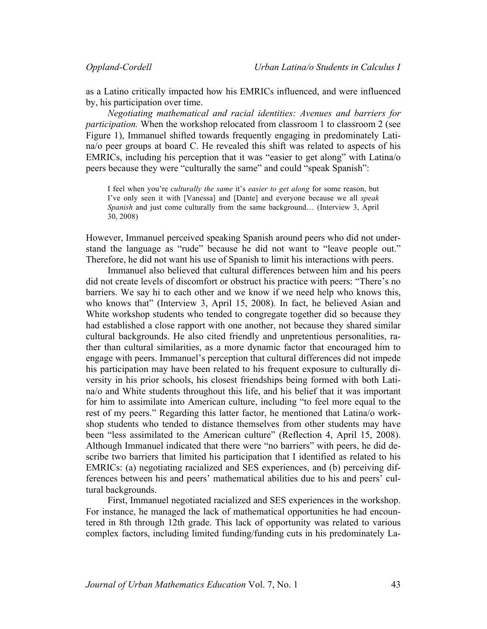as a Latino critically impacted how his EMRICs influenced, and were influenced by, his participation over time.

*Negotiating mathematical and racial identities: Avenues and barriers for participation.* When the workshop relocated from classroom 1 to classroom 2 (see Figure 1), Immanuel shifted towards frequently engaging in predominately Latina/o peer groups at board C. He revealed this shift was related to aspects of his EMRICs, including his perception that it was "easier to get along" with Latina/o peers because they were "culturally the same" and could "speak Spanish":

I feel when you're *culturally the same* it's *easier to get along* for some reason, but I've only seen it with [Vanessa] and [Dante] and everyone because we all *speak Spanish* and just come culturally from the same background… (Interview 3, April 30, 2008)

However, Immanuel perceived speaking Spanish around peers who did not understand the language as "rude" because he did not want to "leave people out." Therefore, he did not want his use of Spanish to limit his interactions with peers.

Immanuel also believed that cultural differences between him and his peers did not create levels of discomfort or obstruct his practice with peers: "There's no barriers. We say hi to each other and we know if we need help who knows this, who knows that" (Interview 3, April 15, 2008). In fact, he believed Asian and White workshop students who tended to congregate together did so because they had established a close rapport with one another, not because they shared similar cultural backgrounds. He also cited friendly and unpretentious personalities, rather than cultural similarities, as a more dynamic factor that encouraged him to engage with peers. Immanuel's perception that cultural differences did not impede his participation may have been related to his frequent exposure to culturally diversity in his prior schools, his closest friendships being formed with both Latina/o and White students throughout this life, and his belief that it was important for him to assimilate into American culture, including "to feel more equal to the rest of my peers." Regarding this latter factor, he mentioned that Latina/o workshop students who tended to distance themselves from other students may have been "less assimilated to the American culture" (Reflection 4, April 15, 2008). Although Immanuel indicated that there were "no barriers" with peers, he did describe two barriers that limited his participation that I identified as related to his EMRICs: (a) negotiating racialized and SES experiences, and (b) perceiving differences between his and peers' mathematical abilities due to his and peers' cultural backgrounds.

First, Immanuel negotiated racialized and SES experiences in the workshop. For instance, he managed the lack of mathematical opportunities he had encountered in 8th through 12th grade. This lack of opportunity was related to various complex factors, including limited funding/funding cuts in his predominately La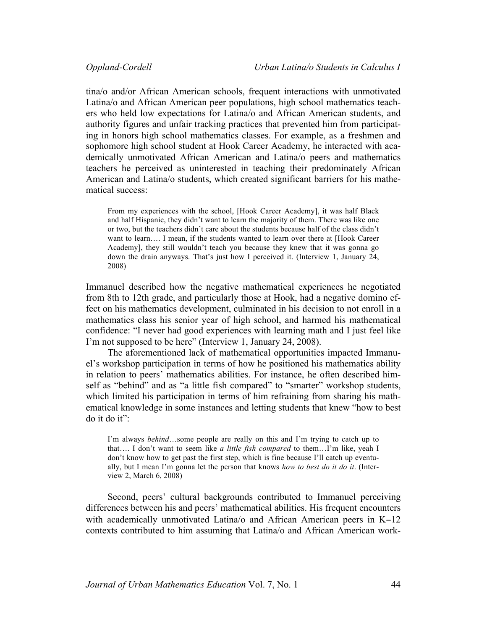tina/o and/or African American schools, frequent interactions with unmotivated Latina/o and African American peer populations, high school mathematics teachers who held low expectations for Latina/o and African American students, and authority figures and unfair tracking practices that prevented him from participating in honors high school mathematics classes. For example, as a freshmen and sophomore high school student at Hook Career Academy, he interacted with academically unmotivated African American and Latina/o peers and mathematics teachers he perceived as uninterested in teaching their predominately African American and Latina/o students, which created significant barriers for his mathematical success:

From my experiences with the school, [Hook Career Academy], it was half Black and half Hispanic, they didn't want to learn the majority of them. There was like one or two, but the teachers didn't care about the students because half of the class didn't want to learn…. I mean, if the students wanted to learn over there at [Hook Career Academy], they still wouldn't teach you because they knew that it was gonna go down the drain anyways. That's just how I perceived it. (Interview 1, January 24, 2008)

Immanuel described how the negative mathematical experiences he negotiated from 8th to 12th grade, and particularly those at Hook, had a negative domino effect on his mathematics development, culminated in his decision to not enroll in a mathematics class his senior year of high school, and harmed his mathematical confidence: "I never had good experiences with learning math and I just feel like I'm not supposed to be here" (Interview 1, January 24, 2008).

The aforementioned lack of mathematical opportunities impacted Immanuel's workshop participation in terms of how he positioned his mathematics ability in relation to peers' mathematics abilities. For instance, he often described himself as "behind" and as "a little fish compared" to "smarter" workshop students, which limited his participation in terms of him refraining from sharing his mathematical knowledge in some instances and letting students that knew "how to best do it do it":

I'm always *behind*…some people are really on this and I'm trying to catch up to that…. I don't want to seem like *a little fish compared* to them…I'm like, yeah I don't know how to get past the first step, which is fine because I'll catch up eventually, but I mean I'm gonna let the person that knows *how to best do it do it*. (Interview 2, March 6, 2008)

Second, peers' cultural backgrounds contributed to Immanuel perceiving differences between his and peers' mathematical abilities. His frequent encounters with academically unmotivated Latina/o and African American peers in K−12 contexts contributed to him assuming that Latina/o and African American work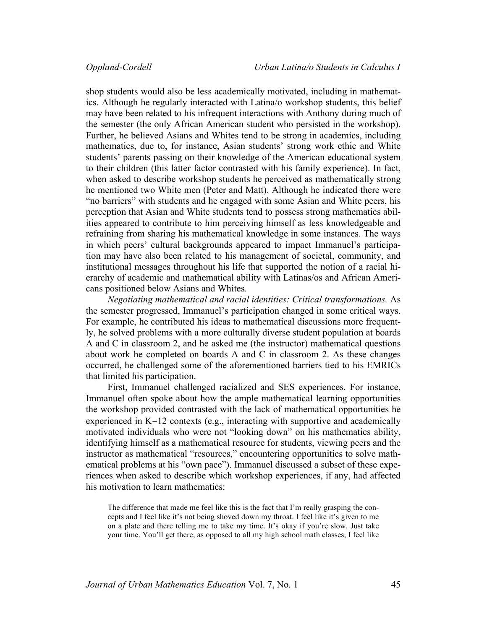shop students would also be less academically motivated, including in mathematics. Although he regularly interacted with Latina/o workshop students, this belief may have been related to his infrequent interactions with Anthony during much of the semester (the only African American student who persisted in the workshop). Further, he believed Asians and Whites tend to be strong in academics, including mathematics, due to, for instance, Asian students' strong work ethic and White students' parents passing on their knowledge of the American educational system to their children (this latter factor contrasted with his family experience). In fact, when asked to describe workshop students he perceived as mathematically strong he mentioned two White men (Peter and Matt). Although he indicated there were "no barriers" with students and he engaged with some Asian and White peers, his perception that Asian and White students tend to possess strong mathematics abilities appeared to contribute to him perceiving himself as less knowledgeable and refraining from sharing his mathematical knowledge in some instances. The ways in which peers' cultural backgrounds appeared to impact Immanuel's participation may have also been related to his management of societal, community, and institutional messages throughout his life that supported the notion of a racial hierarchy of academic and mathematical ability with Latinas/os and African Americans positioned below Asians and Whites.

*Negotiating mathematical and racial identities: Critical transformations.* As the semester progressed, Immanuel's participation changed in some critical ways. For example, he contributed his ideas to mathematical discussions more frequently, he solved problems with a more culturally diverse student population at boards A and C in classroom 2, and he asked me (the instructor) mathematical questions about work he completed on boards A and C in classroom 2. As these changes occurred, he challenged some of the aforementioned barriers tied to his EMRICs that limited his participation.

First, Immanuel challenged racialized and SES experiences. For instance, Immanuel often spoke about how the ample mathematical learning opportunities the workshop provided contrasted with the lack of mathematical opportunities he experienced in K−12 contexts (e.g., interacting with supportive and academically motivated individuals who were not "looking down" on his mathematics ability, identifying himself as a mathematical resource for students, viewing peers and the instructor as mathematical "resources," encountering opportunities to solve mathematical problems at his "own pace"). Immanuel discussed a subset of these experiences when asked to describe which workshop experiences, if any, had affected his motivation to learn mathematics:

The difference that made me feel like this is the fact that I'm really grasping the concepts and I feel like it's not being shoved down my throat. I feel like it's given to me on a plate and there telling me to take my time. It's okay if you're slow. Just take your time. You'll get there, as opposed to all my high school math classes, I feel like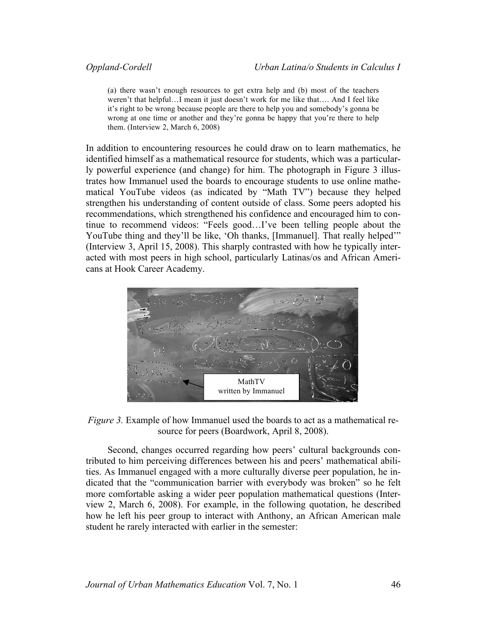(a) there wasn't enough resources to get extra help and (b) most of the teachers weren't that helpful…I mean it just doesn't work for me like that…. And I feel like it's right to be wrong because people are there to help you and somebody's gonna be wrong at one time or another and they're gonna be happy that you're there to help them. (Interview 2, March 6, 2008)

In addition to encountering resources he could draw on to learn mathematics, he identified himself as a mathematical resource for students, which was a particularly powerful experience (and change) for him. The photograph in Figure 3 illustrates how Immanuel used the boards to encourage students to use online mathematical YouTube videos (as indicated by "Math TV") because they helped strengthen his understanding of content outside of class. Some peers adopted his recommendations, which strengthened his confidence and encouraged him to continue to recommend videos: "Feels good…I've been telling people about the YouTube thing and they'll be like, 'Oh thanks, [Immanuel]. That really helped'" (Interview 3, April 15, 2008). This sharply contrasted with how he typically interacted with most peers in high school, particularly Latinas/os and African Americans at Hook Career Academy.



*Figure 3.* Example of how Immanuel used the boards to act as a mathematical resource for peers (Boardwork, April 8, 2008).

Second, changes occurred regarding how peers' cultural backgrounds contributed to him perceiving differences between his and peers' mathematical abilities. As Immanuel engaged with a more culturally diverse peer population, he indicated that the "communication barrier with everybody was broken" so he felt more comfortable asking a wider peer population mathematical questions (Interview 2, March 6, 2008). For example, in the following quotation, he described how he left his peer group to interact with Anthony, an African American male student he rarely interacted with earlier in the semester: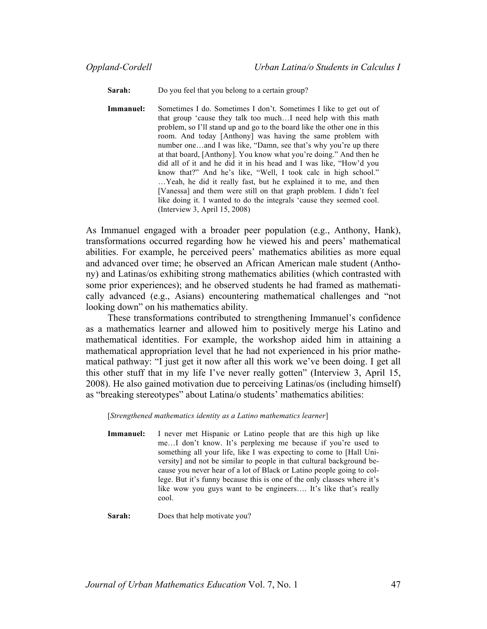**Sarah:** Do you feel that you belong to a certain group?

**Immanuel:** Sometimes I do. Sometimes I don't. Sometimes I like to get out of that group 'cause they talk too much…I need help with this math problem, so I'll stand up and go to the board like the other one in this room. And today [Anthony] was having the same problem with number one…and I was like, "Damn, see that's why you're up there at that board, [Anthony]. You know what you're doing." And then he did all of it and he did it in his head and I was like, "How'd you know that?" And he's like, "Well, I took calc in high school." …Yeah, he did it really fast, but he explained it to me, and then [Vanessa] and them were still on that graph problem. I didn't feel like doing it. I wanted to do the integrals 'cause they seemed cool. (Interview 3, April 15, 2008)

As Immanuel engaged with a broader peer population (e.g., Anthony, Hank), transformations occurred regarding how he viewed his and peers' mathematical abilities. For example, he perceived peers' mathematics abilities as more equal and advanced over time; he observed an African American male student (Anthony) and Latinas/os exhibiting strong mathematics abilities (which contrasted with some prior experiences); and he observed students he had framed as mathematically advanced (e.g., Asians) encountering mathematical challenges and "not looking down" on his mathematics ability.

These transformations contributed to strengthening Immanuel's confidence as a mathematics learner and allowed him to positively merge his Latino and mathematical identities. For example, the workshop aided him in attaining a mathematical appropriation level that he had not experienced in his prior mathematical pathway: "I just get it now after all this work we've been doing. I get all this other stuff that in my life I've never really gotten" (Interview 3, April 15, 2008). He also gained motivation due to perceiving Latinas/os (including himself) as "breaking stereotypes" about Latina/o students' mathematics abilities:

[*Strengthened mathematics identity as a Latino mathematics learner*]

**Immanuel:** I never met Hispanic or Latino people that are this high up like me…I don't know. It's perplexing me because if you're used to something all your life, like I was expecting to come to [Hall University] and not be similar to people in that cultural background because you never hear of a lot of Black or Latino people going to college. But it's funny because this is one of the only classes where it's like wow you guys want to be engineers…. It's like that's really cool.

**Sarah:** Does that help motivate you?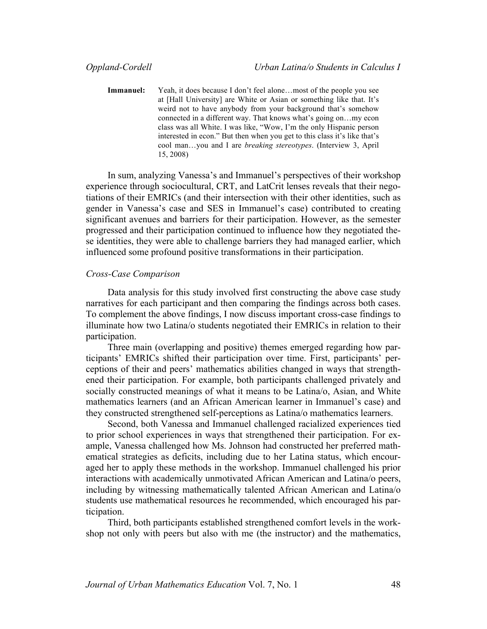**Immanuel:** Yeah, it does because I don't feel alone...most of the people you see at [Hall University] are White or Asian or something like that. It's weird not to have anybody from your background that's somehow connected in a different way. That knows what's going on…my econ class was all White. I was like, "Wow, I'm the only Hispanic person interested in econ." But then when you get to this class it's like that's cool man…you and I are *breaking stereotypes*. (Interview 3, April 15, 2008)

In sum, analyzing Vanessa's and Immanuel's perspectives of their workshop experience through sociocultural, CRT, and LatCrit lenses reveals that their negotiations of their EMRICs (and their intersection with their other identities, such as gender in Vanessa's case and SES in Immanuel's case) contributed to creating significant avenues and barriers for their participation. However, as the semester progressed and their participation continued to influence how they negotiated these identities, they were able to challenge barriers they had managed earlier, which influenced some profound positive transformations in their participation.

### *Cross-Case Comparison*

Data analysis for this study involved first constructing the above case study narratives for each participant and then comparing the findings across both cases. To complement the above findings, I now discuss important cross-case findings to illuminate how two Latina/o students negotiated their EMRICs in relation to their participation.

Three main (overlapping and positive) themes emerged regarding how participants' EMRICs shifted their participation over time. First, participants' perceptions of their and peers' mathematics abilities changed in ways that strengthened their participation. For example, both participants challenged privately and socially constructed meanings of what it means to be Latina/o, Asian, and White mathematics learners (and an African American learner in Immanuel's case) and they constructed strengthened self-perceptions as Latina/o mathematics learners.

Second, both Vanessa and Immanuel challenged racialized experiences tied to prior school experiences in ways that strengthened their participation. For example, Vanessa challenged how Ms. Johnson had constructed her preferred mathematical strategies as deficits, including due to her Latina status, which encouraged her to apply these methods in the workshop. Immanuel challenged his prior interactions with academically unmotivated African American and Latina/o peers, including by witnessing mathematically talented African American and Latina/o students use mathematical resources he recommended, which encouraged his participation.

Third, both participants established strengthened comfort levels in the workshop not only with peers but also with me (the instructor) and the mathematics,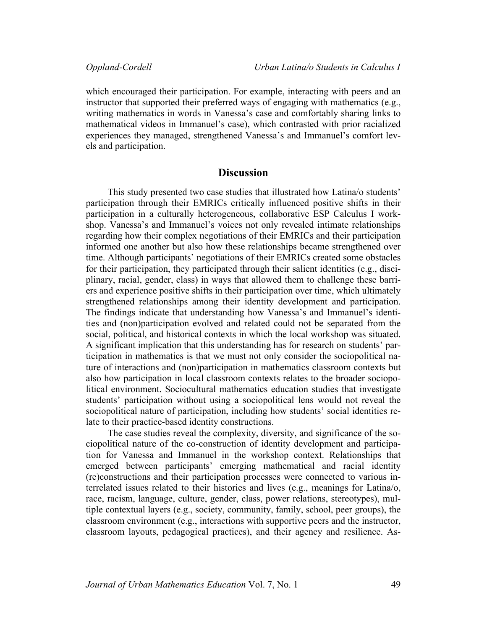which encouraged their participation. For example, interacting with peers and an instructor that supported their preferred ways of engaging with mathematics (e.g., writing mathematics in words in Vanessa's case and comfortably sharing links to mathematical videos in Immanuel's case), which contrasted with prior racialized experiences they managed, strengthened Vanessa's and Immanuel's comfort levels and participation.

# **Discussion**

This study presented two case studies that illustrated how Latina/o students' participation through their EMRICs critically influenced positive shifts in their participation in a culturally heterogeneous, collaborative ESP Calculus I workshop. Vanessa's and Immanuel's voices not only revealed intimate relationships regarding how their complex negotiations of their EMRICs and their participation informed one another but also how these relationships became strengthened over time. Although participants' negotiations of their EMRICs created some obstacles for their participation, they participated through their salient identities (e.g., disciplinary, racial, gender, class) in ways that allowed them to challenge these barriers and experience positive shifts in their participation over time, which ultimately strengthened relationships among their identity development and participation. The findings indicate that understanding how Vanessa's and Immanuel's identities and (non)participation evolved and related could not be separated from the social, political, and historical contexts in which the local workshop was situated. A significant implication that this understanding has for research on students' participation in mathematics is that we must not only consider the sociopolitical nature of interactions and (non)participation in mathematics classroom contexts but also how participation in local classroom contexts relates to the broader sociopolitical environment. Sociocultural mathematics education studies that investigate students' participation without using a sociopolitical lens would not reveal the sociopolitical nature of participation, including how students' social identities relate to their practice-based identity constructions.

The case studies reveal the complexity, diversity, and significance of the sociopolitical nature of the co-construction of identity development and participation for Vanessa and Immanuel in the workshop context. Relationships that emerged between participants' emerging mathematical and racial identity (re)constructions and their participation processes were connected to various interrelated issues related to their histories and lives (e.g., meanings for Latina/o, race, racism, language, culture, gender, class, power relations, stereotypes), multiple contextual layers (e.g., society, community, family, school, peer groups), the classroom environment (e.g., interactions with supportive peers and the instructor, classroom layouts, pedagogical practices), and their agency and resilience. As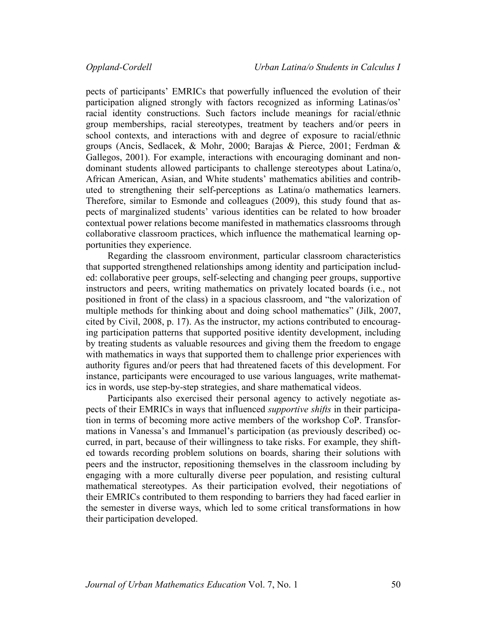pects of participants' EMRICs that powerfully influenced the evolution of their participation aligned strongly with factors recognized as informing Latinas/os' racial identity constructions. Such factors include meanings for racial/ethnic group memberships, racial stereotypes, treatment by teachers and/or peers in school contexts, and interactions with and degree of exposure to racial/ethnic groups (Ancis, Sedlacek, & Mohr, 2000; Barajas & Pierce, 2001; Ferdman & Gallegos, 2001). For example, interactions with encouraging dominant and nondominant students allowed participants to challenge stereotypes about Latina/o, African American, Asian, and White students' mathematics abilities and contributed to strengthening their self-perceptions as Latina/o mathematics learners. Therefore, similar to Esmonde and colleagues (2009), this study found that aspects of marginalized students' various identities can be related to how broader contextual power relations become manifested in mathematics classrooms through collaborative classroom practices, which influence the mathematical learning opportunities they experience.

Regarding the classroom environment, particular classroom characteristics that supported strengthened relationships among identity and participation included: collaborative peer groups, self-selecting and changing peer groups, supportive instructors and peers, writing mathematics on privately located boards (i.e., not positioned in front of the class) in a spacious classroom, and "the valorization of multiple methods for thinking about and doing school mathematics" (Jilk, 2007, cited by Civil, 2008, p. 17). As the instructor, my actions contributed to encouraging participation patterns that supported positive identity development, including by treating students as valuable resources and giving them the freedom to engage with mathematics in ways that supported them to challenge prior experiences with authority figures and/or peers that had threatened facets of this development. For instance, participants were encouraged to use various languages, write mathematics in words, use step-by-step strategies, and share mathematical videos.

Participants also exercised their personal agency to actively negotiate aspects of their EMRICs in ways that influenced *supportive shifts* in their participation in terms of becoming more active members of the workshop CoP. Transformations in Vanessa's and Immanuel's participation (as previously described) occurred, in part, because of their willingness to take risks. For example, they shifted towards recording problem solutions on boards, sharing their solutions with peers and the instructor, repositioning themselves in the classroom including by engaging with a more culturally diverse peer population, and resisting cultural mathematical stereotypes. As their participation evolved, their negotiations of their EMRICs contributed to them responding to barriers they had faced earlier in the semester in diverse ways, which led to some critical transformations in how their participation developed.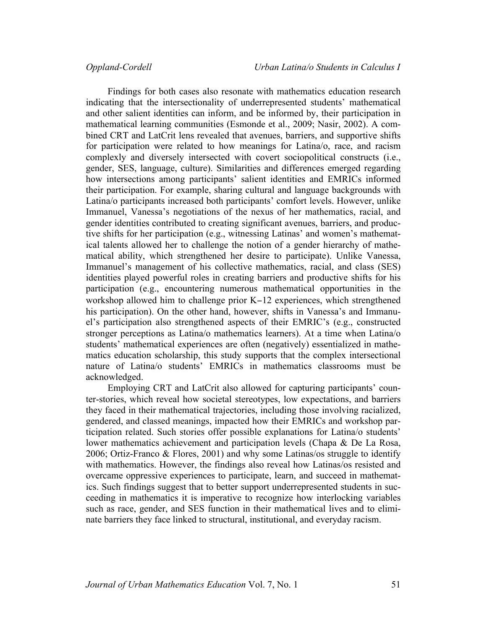Findings for both cases also resonate with mathematics education research indicating that the intersectionality of underrepresented students' mathematical and other salient identities can inform, and be informed by, their participation in mathematical learning communities (Esmonde et al., 2009; Nasir, 2002). A combined CRT and LatCrit lens revealed that avenues, barriers, and supportive shifts for participation were related to how meanings for Latina/o, race, and racism complexly and diversely intersected with covert sociopolitical constructs (i.e., gender, SES, language, culture). Similarities and differences emerged regarding how intersections among participants' salient identities and EMRICs informed their participation. For example, sharing cultural and language backgrounds with Latina/o participants increased both participants' comfort levels. However, unlike Immanuel, Vanessa's negotiations of the nexus of her mathematics, racial, and gender identities contributed to creating significant avenues, barriers, and productive shifts for her participation (e.g., witnessing Latinas' and women's mathematical talents allowed her to challenge the notion of a gender hierarchy of mathematical ability, which strengthened her desire to participate). Unlike Vanessa, Immanuel's management of his collective mathematics, racial, and class (SES) identities played powerful roles in creating barriers and productive shifts for his participation (e.g., encountering numerous mathematical opportunities in the workshop allowed him to challenge prior K−12 experiences, which strengthened his participation). On the other hand, however, shifts in Vanessa's and Immanuel's participation also strengthened aspects of their EMRIC's (e.g., constructed stronger perceptions as Latina/o mathematics learners). At a time when Latina/o students' mathematical experiences are often (negatively) essentialized in mathematics education scholarship, this study supports that the complex intersectional nature of Latina/o students' EMRICs in mathematics classrooms must be acknowledged.

Employing CRT and LatCrit also allowed for capturing participants' counter-stories, which reveal how societal stereotypes, low expectations, and barriers they faced in their mathematical trajectories, including those involving racialized, gendered, and classed meanings, impacted how their EMRICs and workshop participation related. Such stories offer possible explanations for Latina/o students' lower mathematics achievement and participation levels (Chapa & De La Rosa, 2006; Ortiz-Franco & Flores, 2001) and why some Latinas/os struggle to identify with mathematics. However, the findings also reveal how Latinas/os resisted and overcame oppressive experiences to participate, learn, and succeed in mathematics. Such findings suggest that to better support underrepresented students in succeeding in mathematics it is imperative to recognize how interlocking variables such as race, gender, and SES function in their mathematical lives and to eliminate barriers they face linked to structural, institutional, and everyday racism.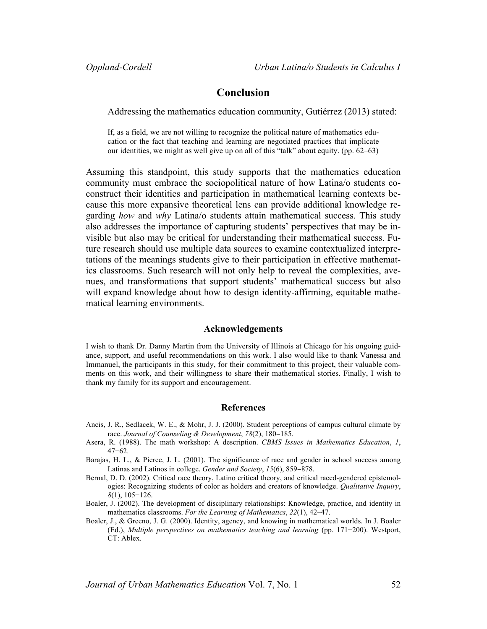# **Conclusion**

Addressing the mathematics education community, Gutiérrez (2013) stated:

If, as a field, we are not willing to recognize the political nature of mathematics education or the fact that teaching and learning are negotiated practices that implicate our identities, we might as well give up on all of this "talk" about equity. (pp. 62–63)

Assuming this standpoint, this study supports that the mathematics education community must embrace the sociopolitical nature of how Latina/o students coconstruct their identities and participation in mathematical learning contexts because this more expansive theoretical lens can provide additional knowledge regarding *how* and *why* Latina/o students attain mathematical success. This study also addresses the importance of capturing students' perspectives that may be invisible but also may be critical for understanding their mathematical success. Future research should use multiple data sources to examine contextualized interpretations of the meanings students give to their participation in effective mathematics classrooms. Such research will not only help to reveal the complexities, avenues, and transformations that support students' mathematical success but also will expand knowledge about how to design identity-affirming, equitable mathematical learning environments.

### **Acknowledgements**

I wish to thank Dr. Danny Martin from the University of Illinois at Chicago for his ongoing guidance, support, and useful recommendations on this work. I also would like to thank Vanessa and Immanuel, the participants in this study, for their commitment to this project, their valuable comments on this work, and their willingness to share their mathematical stories. Finally, I wish to thank my family for its support and encouragement.

### **References**

- Ancis, J. R., Sedlacek, W. E., & Mohr, J. J. (2000). Student perceptions of campus cultural climate by race. *Journal of Counseling & Development*, *78*(2), 180−185.
- Asera, R. (1988). The math workshop: A description. *CBMS Issues in Mathematics Education*, *1*, 47−62.
- Barajas, H. L., & Pierce, J. L. (2001). The significance of race and gender in school success among Latinas and Latinos in college. *Gender and Society*, *15*(6), 859−878.
- Bernal, D. D. (2002). Critical race theory, Latino critical theory, and critical raced-gendered epistemologies: Recognizing students of color as holders and creators of knowledge. *Qualitative Inquiry*, *8*(1), 105−126.
- Boaler, J. (2002). The development of disciplinary relationships: Knowledge, practice, and identity in mathematics classrooms. *For the Learning of Mathematics*, *22*(1), 42–47.
- Boaler, J., & Greeno, J. G. (2000). Identity, agency, and knowing in mathematical worlds. In J. Boaler (Ed.), *Multiple perspectives on mathematics teaching and learning* (pp. 171−200). Westport, CT: Ablex.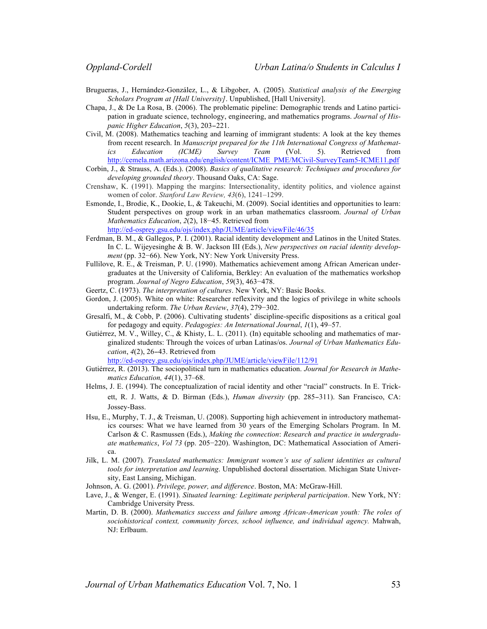- Brugueras, J., Hernández-González, L., & Libgober, A. (2005). *Statistical analysis of the Emerging Scholars Program at [Hall University]*. Unpublished, [Hall University].
- Chapa, J., & De La Rosa, B. (2006). The problematic pipeline: Demographic trends and Latino participation in graduate science, technology, engineering, and mathematics programs. *Journal of Hispanic Higher Education*, *5*(3), 203−221.
- Civil, M. (2008). Mathematics teaching and learning of immigrant students: A look at the key themes from recent research. In *Manuscript prepared for the 11th International Congress of Mathematics Education (ICME) Survey Team* (Vol. 5). Retrieved from http://cemela.math.arizona.edu/english/content/ICME\_PME/MCivil-SurveyTeam5-ICME11.pdf
- Corbin, J., & Strauss, A. (Eds.). (2008). *Basics of qualitative research: Techniques and procedures for developing grounded theory*. Thousand Oaks, CA: Sage.
- Crenshaw, K. (1991). Mapping the margins: Intersectionality, identity politics, and violence against women of color. *Stanford Law Review, 43*(6), 1241–1299.
- Esmonde, I., Brodie, K., Dookie, L, & Takeuchi, M. (2009). Social identities and opportunities to learn: Student perspectives on group work in an urban mathematics classroom. *Journal of Urban Mathematics Education*, *2*(2), 18−45. Retrieved from http://ed-osprey.gsu.edu/ojs/index.php/JUME/article/viewFile/46/35
- Ferdman, B. M., & Gallegos, P. I. (2001). Racial identity development and Latinos in the United States. In C. L. Wijeyesinghe & B. W. Jackson III (Eds.), *New perspectives on racial identity development* (pp. 32–66). New York, NY: New York University Press.
- Fullilove, R. E., & Treisman, P. U. (1990). Mathematics achievement among African American undergraduates at the University of California, Berkley: An evaluation of the mathematics workshop program. *Journal of Negro Education*, *59*(3), 463−478.
- Geertz, C. (1973). *The interpretation of cultures*. New York, NY: Basic Books.
- Gordon, J. (2005). White on white: Researcher reflexivity and the logics of privilege in white schools undertaking reform. *The Urban Review*, *37*(4), 279−302.
- Gresalfi, M., & Cobb, P. (2006). Cultivating students' discipline-specific dispositions as a critical goal for pedagogy and equity. *Pedagogies: An International Journal*, *1*(1), 49–57.
- Gutiérrez, M. V., Willey, C., & Khisty, L. L. (2011). (In) equitable schooling and mathematics of marginalized students: Through the voices of urban Latinas/os. *Journal of Urban Mathematics Education*, *4*(2), 26−43. Retrieved from

http://ed-osprey.gsu.edu/ojs/index.php/JUME/article/viewFile/112/91

- Gutiérrez, R. (2013). The sociopolitical turn in mathematics education. *Journal for Research in Mathematics Education, 44*(1), 37–68.
- Helms, J. E. (1994). The conceptualization of racial identity and other "racial" constructs. In E. Trickett, R. J. Watts, & D. Birman (Eds.), *Human diversity* (pp. 285−311). San Francisco, CA: Jossey-Bass.
- Hsu, E., Murphy, T. J., & Treisman, U. (2008). Supporting high achievement in introductory mathematics courses: What we have learned from 30 years of the Emerging Scholars Program. In M. Carlson & C. Rasmussen (Eds.), *Making the connection*: *Research and practice in undergraduate mathematics*, *Vol 73* (pp. 205−220). Washington, DC: Mathematical Association of America.
- Jilk, L. M. (2007). *Translated mathematics: Immigrant women's use of salient identities as cultural tools for interpretation and learning*. Unpublished doctoral dissertation. Michigan State University, East Lansing, Michigan.

Johnson, A. G. (2001). *Privilege, power, and difference*. Boston, MA: McGraw-Hill.

- Lave, J., & Wenger, E. (1991). *Situated learning: Legitimate peripheral participation*. New York, NY: Cambridge University Press.
- Martin, D. B. (2000). *Mathematics success and failure among African-American youth: The roles of sociohistorical context, community forces, school influence, and individual agency.* Mahwah, NJ: Erlbaum.